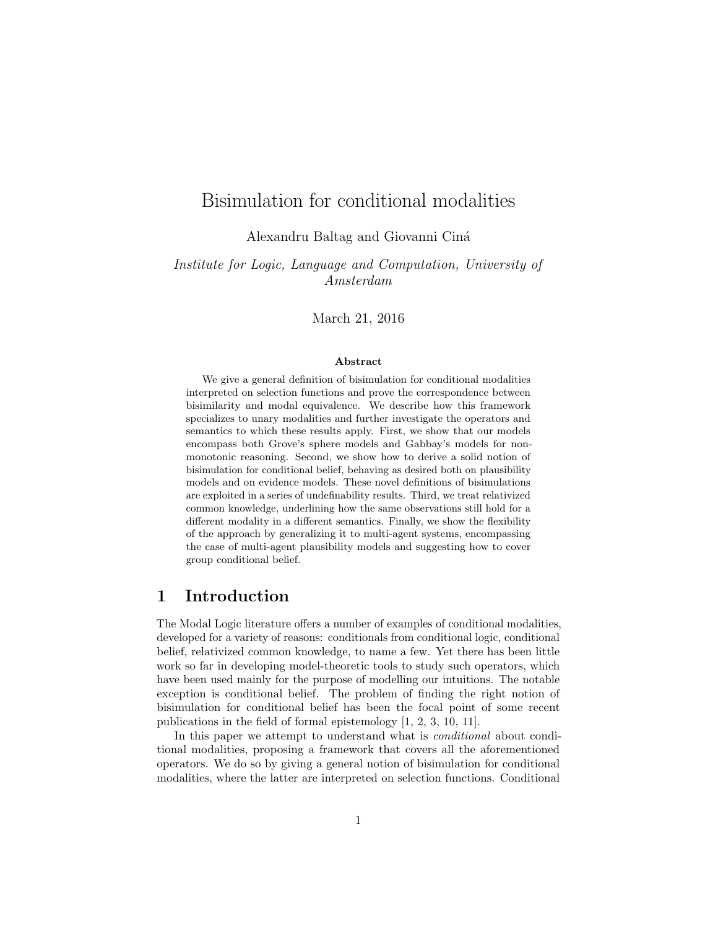# Bisimulation for conditional modalities

Alexandru Baltag and Giovanni Cin´a

Institute for Logic, Language and Computation, University of Amsterdam

March 21, 2016

#### Abstract

We give a general definition of bisimulation for conditional modalities interpreted on selection functions and prove the correspondence between bisimilarity and modal equivalence. We describe how this framework specializes to unary modalities and further investigate the operators and semantics to which these results apply. First, we show that our models encompass both Grove's sphere models and Gabbay's models for nonmonotonic reasoning. Second, we show how to derive a solid notion of bisimulation for conditional belief, behaving as desired both on plausibility models and on evidence models. These novel definitions of bisimulations are exploited in a series of undefinability results. Third, we treat relativized common knowledge, underlining how the same observations still hold for a different modality in a different semantics. Finally, we show the flexibility of the approach by generalizing it to multi-agent systems, encompassing the case of multi-agent plausibility models and suggesting how to cover group conditional belief.

## 1 Introduction

The Modal Logic literature offers a number of examples of conditional modalities, developed for a variety of reasons: conditionals from conditional logic, conditional belief, relativized common knowledge, to name a few. Yet there has been little work so far in developing model-theoretic tools to study such operators, which have been used mainly for the purpose of modelling our intuitions. The notable exception is conditional belief. The problem of finding the right notion of bisimulation for conditional belief has been the focal point of some recent publications in the field of formal epistemology [1, 2, 3, 10, 11].

In this paper we attempt to understand what is *conditional* about conditional modalities, proposing a framework that covers all the aforementioned operators. We do so by giving a general notion of bisimulation for conditional modalities, where the latter are interpreted on selection functions. Conditional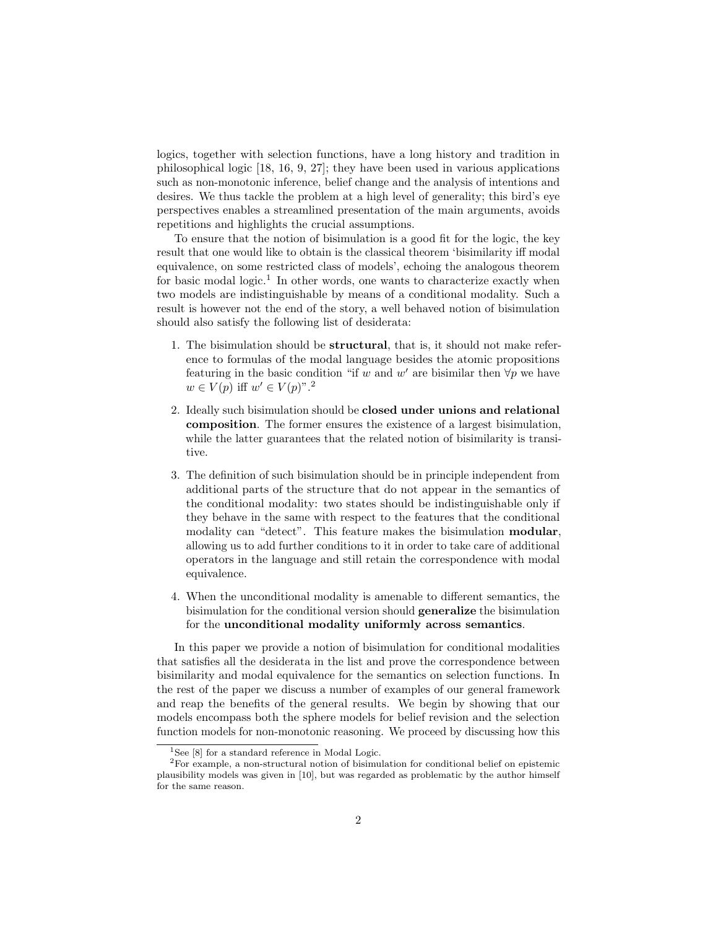logics, together with selection functions, have a long history and tradition in philosophical logic [18, 16, 9, 27]; they have been used in various applications such as non-monotonic inference, belief change and the analysis of intentions and desires. We thus tackle the problem at a high level of generality; this bird's eye perspectives enables a streamlined presentation of the main arguments, avoids repetitions and highlights the crucial assumptions.

To ensure that the notion of bisimulation is a good fit for the logic, the key result that one would like to obtain is the classical theorem 'bisimilarity iff modal equivalence, on some restricted class of models', echoing the analogous theorem for basic modal logic.<sup>1</sup> In other words, one wants to characterize exactly when two models are indistinguishable by means of a conditional modality. Such a result is however not the end of the story, a well behaved notion of bisimulation should also satisfy the following list of desiderata:

- 1. The bisimulation should be structural, that is, it should not make reference to formulas of the modal language besides the atomic propositions featuring in the basic condition "if w and w' are bisimilar then  $\forall p$  we have  $w \in V(p)$  iff  $w' \in V(p)$ ".<sup>2</sup>
- 2. Ideally such bisimulation should be closed under unions and relational composition. The former ensures the existence of a largest bisimulation, while the latter guarantees that the related notion of bisimilarity is transitive.
- 3. The definition of such bisimulation should be in principle independent from additional parts of the structure that do not appear in the semantics of the conditional modality: two states should be indistinguishable only if they behave in the same with respect to the features that the conditional modality can "detect". This feature makes the bisimulation **modular**, allowing us to add further conditions to it in order to take care of additional operators in the language and still retain the correspondence with modal equivalence.
- 4. When the unconditional modality is amenable to different semantics, the bisimulation for the conditional version should generalize the bisimulation for the unconditional modality uniformly across semantics.

In this paper we provide a notion of bisimulation for conditional modalities that satisfies all the desiderata in the list and prove the correspondence between bisimilarity and modal equivalence for the semantics on selection functions. In the rest of the paper we discuss a number of examples of our general framework and reap the benefits of the general results. We begin by showing that our models encompass both the sphere models for belief revision and the selection function models for non-monotonic reasoning. We proceed by discussing how this

<sup>&</sup>lt;sup>1</sup>See [8] for a standard reference in Modal Logic.

<sup>2</sup>For example, a non-structural notion of bisimulation for conditional belief on epistemic plausibility models was given in [10], but was regarded as problematic by the author himself for the same reason.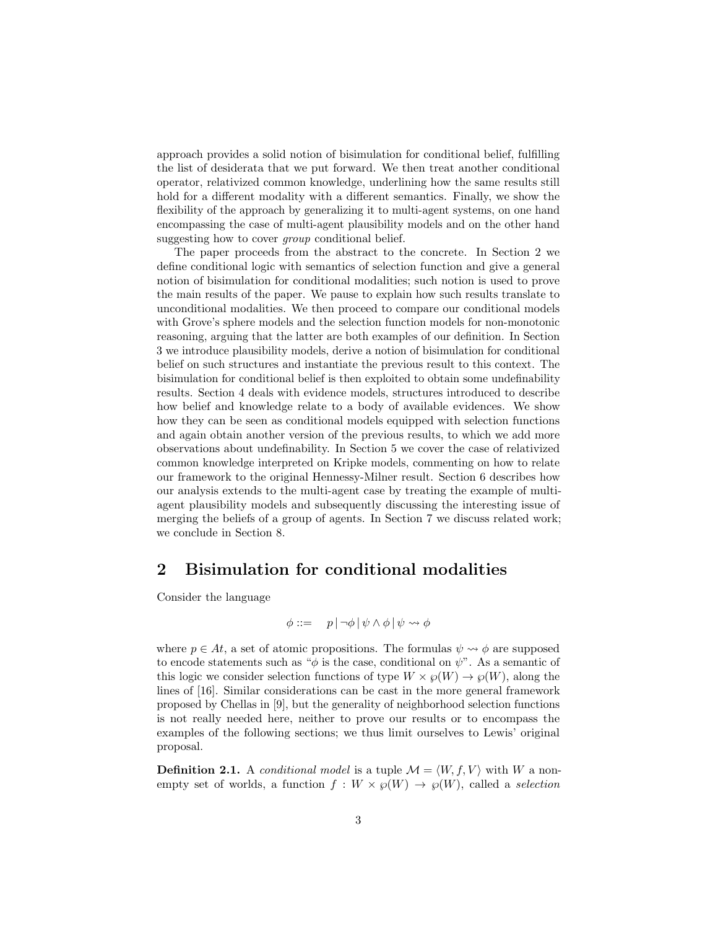approach provides a solid notion of bisimulation for conditional belief, fulfilling the list of desiderata that we put forward. We then treat another conditional operator, relativized common knowledge, underlining how the same results still hold for a different modality with a different semantics. Finally, we show the flexibility of the approach by generalizing it to multi-agent systems, on one hand encompassing the case of multi-agent plausibility models and on the other hand suggesting how to cover *group* conditional belief.

The paper proceeds from the abstract to the concrete. In Section 2 we define conditional logic with semantics of selection function and give a general notion of bisimulation for conditional modalities; such notion is used to prove the main results of the paper. We pause to explain how such results translate to unconditional modalities. We then proceed to compare our conditional models with Grove's sphere models and the selection function models for non-monotonic reasoning, arguing that the latter are both examples of our definition. In Section 3 we introduce plausibility models, derive a notion of bisimulation for conditional belief on such structures and instantiate the previous result to this context. The bisimulation for conditional belief is then exploited to obtain some undefinability results. Section 4 deals with evidence models, structures introduced to describe how belief and knowledge relate to a body of available evidences. We show how they can be seen as conditional models equipped with selection functions and again obtain another version of the previous results, to which we add more observations about undefinability. In Section 5 we cover the case of relativized common knowledge interpreted on Kripke models, commenting on how to relate our framework to the original Hennessy-Milner result. Section 6 describes how our analysis extends to the multi-agent case by treating the example of multiagent plausibility models and subsequently discussing the interesting issue of merging the beliefs of a group of agents. In Section 7 we discuss related work; we conclude in Section 8.

## 2 Bisimulation for conditional modalities

Consider the language

$$
\phi ::= p | \neg \phi | \psi \land \phi | \psi \leadsto \phi
$$

where  $p \in At$ , a set of atomic propositions. The formulas  $\psi \rightsquigarrow \phi$  are supposed to encode statements such as " $\phi$  is the case, conditional on  $\psi$ ". As a semantic of this logic we consider selection functions of type  $W \times \mathcal{O}(W) \to \mathcal{O}(W)$ , along the lines of [16]. Similar considerations can be cast in the more general framework proposed by Chellas in [9], but the generality of neighborhood selection functions is not really needed here, neither to prove our results or to encompass the examples of the following sections; we thus limit ourselves to Lewis' original proposal.

**Definition 2.1.** A conditional model is a tuple  $\mathcal{M} = \langle W, f, V \rangle$  with W a nonempty set of worlds, a function  $f: W \times \mathcal{P}(W) \to \mathcal{P}(W)$ , called a selection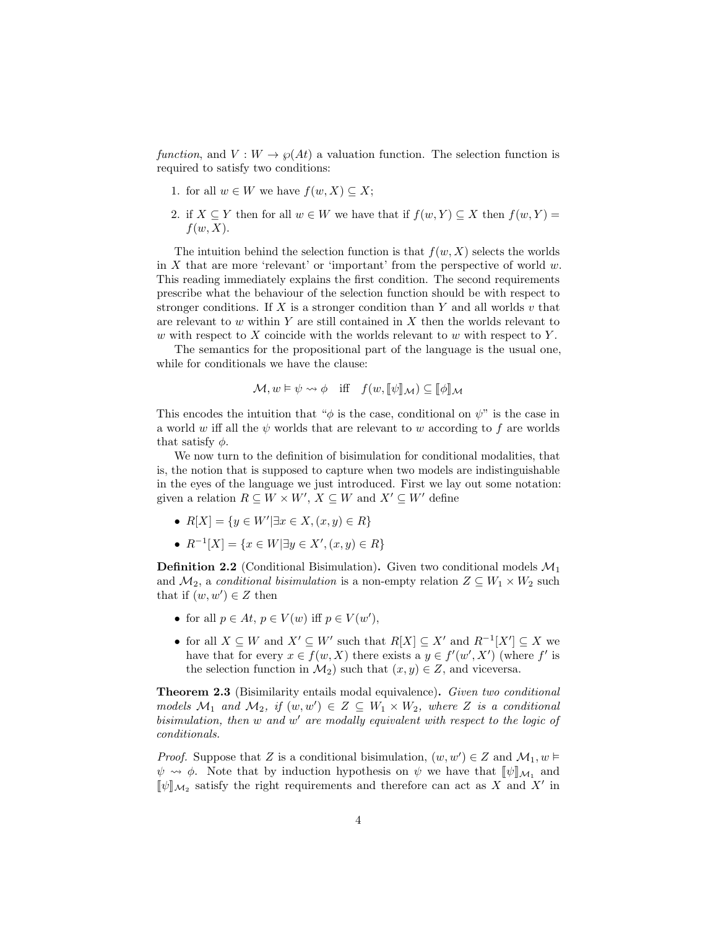function, and  $V: W \to \wp(At)$  a valuation function. The selection function is required to satisfy two conditions:

- 1. for all  $w \in W$  we have  $f(w, X) \subseteq X$ ;
- 2. if  $X \subseteq Y$  then for all  $w \in W$  we have that if  $f(w, Y) \subseteq X$  then  $f(w, Y) =$  $f(w, X)$ .

The intuition behind the selection function is that  $f(w, X)$  selects the worlds in  $X$  that are more 'relevant' or 'important' from the perspective of world  $w$ . This reading immediately explains the first condition. The second requirements prescribe what the behaviour of the selection function should be with respect to stronger conditions. If  $X$  is a stronger condition than  $Y$  and all worlds  $v$  that are relevant to  $w$  within Y are still contained in  $X$  then the worlds relevant to w with respect to  $X$  coincide with the worlds relevant to  $w$  with respect to  $Y$ .

The semantics for the propositional part of the language is the usual one, while for conditionals we have the clause:

$$
\mathcal{M}, w \vDash \psi \leadsto \phi \quad \text{iff} \quad f(w, [\![\psi]\!]_{\mathcal{M}}) \subseteq [\![\phi]\!]_{\mathcal{M}}
$$

This encodes the intuition that " $\phi$  is the case, conditional on  $\psi$ " is the case in a world w iff all the  $\psi$  worlds that are relevant to w according to f are worlds that satisfy  $\phi$ .

We now turn to the definition of bisimulation for conditional modalities, that is, the notion that is supposed to capture when two models are indistinguishable in the eyes of the language we just introduced. First we lay out some notation: given a relation  $R \subseteq W \times W'$ ,  $X \subseteq W$  and  $X' \subseteq W'$  define

- $R[X] = \{y \in W' | \exists x \in X, (x, y) \in R\}$
- $R^{-1}[X] = \{x \in W | \exists y \in X', (x, y) \in R\}$

**Definition 2.2** (Conditional Bisimulation). Given two conditional models  $\mathcal{M}_1$ and  $\mathcal{M}_2$ , a conditional bisimulation is a non-empty relation  $Z \subseteq W_1 \times W_2$  such that if  $(w, w') \in Z$  then

- for all  $p \in At, p \in V(w)$  iff  $p \in V(w'),$
- for all  $X \subseteq W$  and  $X' \subseteq W'$  such that  $R[X] \subseteq X'$  and  $R^{-1}[X'] \subseteq X$  we have that for every  $x \in f(w, X)$  there exists a  $y \in f'(w', X')$  (where f' is the selection function in  $\mathcal{M}_2$ ) such that  $(x, y) \in \mathbb{Z}$ , and viceversa.

Theorem 2.3 (Bisimilarity entails modal equivalence). Given two conditional models  $\mathcal{M}_1$  and  $\mathcal{M}_2$ , if  $(w, w') \in Z \subseteq W_1 \times W_2$ , where Z is a conditional bisimulation, then w and w' are modally equivalent with respect to the logic of conditionals.

*Proof.* Suppose that Z is a conditional bisimulation,  $(w, w') \in Z$  and  $\mathcal{M}_1, w \models$  $\psi \rightsquigarrow \phi$ . Note that by induction hypothesis on  $\psi$  we have that  $[\![\psi]\!]_{\mathcal{M}_1}$  and  $[\![\psi]\!]_{\mathcal{M}_2}$  and  $\mathbf{F}'$  in  $[\![\psi]\!]_{\mathcal{M}_2}$  satisfy the right requirements and therefore can act as  $X$  and  $X'$  in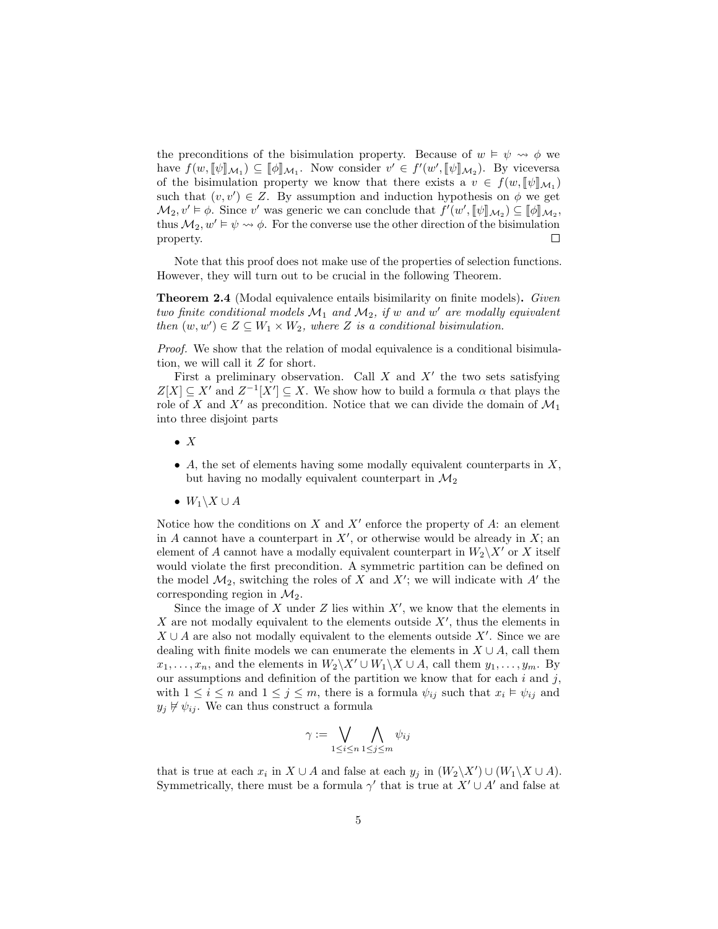the preconditions of the bisimulation property. Because of  $w \vDash \psi \leadsto \phi$  we have  $f(w, [\![\psi]\!]_{\mathcal{M}_1}) \subseteq [\![\phi]\!]_{\mathcal{M}_1}$ . Now consider  $v' \in f'(w', [\![\psi]\!]_{\mathcal{M}_2})$ . By viceversa of the bisimulation property we know that there exists a  $v \in f(w, [\![\psi]\!]_{\mathcal{M}_1})$ <br>sugh that  $(w, w') \in Z$ . By assumption and induction hypothesis on  $\phi$  we get such that  $(v, v') \in Z$ . By assumption and induction hypothesis on  $\phi$  we get  $\mathcal{M}_2, v' \models \phi$ . Since v' was generic we can conclude that  $f'(w', \llbracket \psi \rrbracket_{\mathcal{M}_2}) \subseteq \llbracket \phi \rrbracket_{\mathcal{M}_2}$ ,<br>thus  $M, w' \models \psi, w \phi$ . For the converse use the other direction of the highwalation thus  $\mathcal{M}_2, w' \models \psi \rightsquigarrow \phi$ . For the converse use the other direction of the bisimulation property.  $\Box$ 

Note that this proof does not make use of the properties of selection functions. However, they will turn out to be crucial in the following Theorem.

**Theorem 2.4** (Modal equivalence entails bisimilarity on finite models). Given two finite conditional models  $\mathcal{M}_1$  and  $\mathcal{M}_2$ , if w and w' are modally equivalent then  $(w, w') \in Z \subseteq W_1 \times W_2$ , where Z is a conditional bisimulation.

Proof. We show that the relation of modal equivalence is a conditional bisimulation, we will call it Z for short.

First a preliminary observation. Call  $X$  and  $X'$  the two sets satisfying  $Z[X] \subseteq X'$  and  $Z^{-1}[X'] \subseteq X$ . We show how to build a formula  $\alpha$  that plays the role of X and X' as precondition. Notice that we can divide the domain of  $\mathcal{M}_1$ into three disjoint parts

- $\bullet$  X
- A, the set of elements having some modally equivalent counterparts in  $X$ , but having no modally equivalent counterpart in  $\mathcal{M}_2$
- $W_1 \backslash X \cup A$

Notice how the conditions on  $X$  and  $X'$  enforce the property of  $A$ : an element in A cannot have a counterpart in  $X'$ , or otherwise would be already in  $X$ ; an element of A cannot have a modally equivalent counterpart in  $W_2\backslash X'$  or X itself would violate the first precondition. A symmetric partition can be defined on the model  $\mathcal{M}_2$ , switching the roles of X and X'; we will indicate with A' the corresponding region in  $\mathcal{M}_2$ .

Since the image of  $X$  under  $Z$  lies within  $X'$ , we know that the elements in  $X$  are not modally equivalent to the elements outside  $X'$ , thus the elements in  $X \cup A$  are also not modally equivalent to the elements outside  $X'$ . Since we are dealing with finite models we can enumerate the elements in  $X \cup A$ , call them  $x_1, \ldots, x_n$ , and the elements in  $W_2\backslash X' \cup W_1\backslash X \cup A$ , call them  $y_1, \ldots, y_m$ . By our assumptions and definition of the partition we know that for each  $i$  and  $j$ , with  $1 \leq i \leq n$  and  $1 \leq j \leq m$ , there is a formula  $\psi_{ij}$  such that  $x_i \models \psi_{ij}$  and  $y_i \not\vdash \psi_{ij}$ . We can thus construct a formula

$$
\gamma := \bigvee_{1 \leq i \leq n} \bigwedge_{1 \leq j \leq m} \psi_{ij}
$$

that is true at each  $x_i$  in  $X \cup A$  and false at each  $y_j$  in  $(W_2 \backslash X') \cup (W_1 \backslash X \cup A)$ . Symmetrically, there must be a formula  $\gamma'$  that is true at  $X' \cup A'$  and false at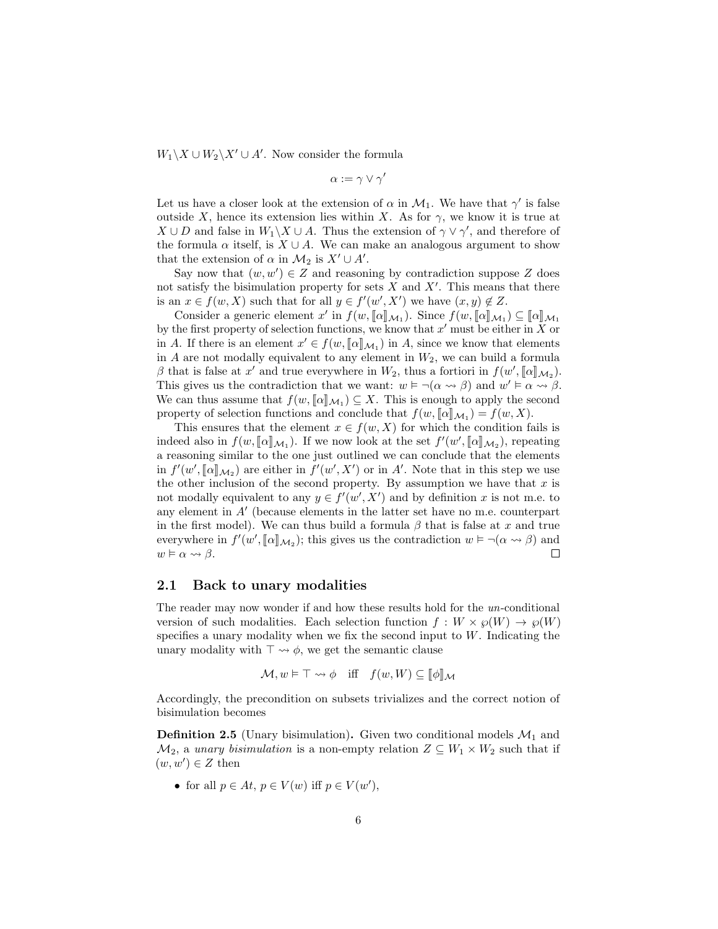$W_1 \backslash X \cup W_2 \backslash X' \cup A'$ . Now consider the formula

$$
\alpha := \gamma \vee \gamma'
$$

Let us have a closer look at the extension of  $\alpha$  in  $\mathcal{M}_1$ . We have that  $\gamma'$  is false outside X, hence its extension lies within X. As for  $\gamma$ , we know it is true at  $X \cup D$  and false in  $W_1 \backslash X \cup A$ . Thus the extension of  $\gamma \vee \gamma'$ , and therefore of the formula  $\alpha$  itself, is  $X \cup A$ . We can make an analogous argument to show that the extension of  $\alpha$  in  $\mathcal{M}_2$  is  $X' \cup A'$ .

Say now that  $(w, w') \in Z$  and reasoning by contradiction suppose Z does not satisfy the bisimulation property for sets  $X$  and  $X'$ . This means that there is an  $x \in f(w, X)$  such that for all  $y \in f'(w', X')$  we have  $(x, y) \notin Z$ .

Consider a generic element x' in  $f(w, [\![\alpha]\!]_{\mathcal{M}_1})$ . Since  $f(w, [\![\alpha]\!]_{\mathcal{M}_1}) \subseteq [\![\alpha]\!]_{\mathcal{M}_1}$ <br>the first property of selection functions, we know that x' must be either in X or by the first property of selection functions, we know that  $x'$  must be either in X or in A. If there is an element  $x' \in f(w, [\![\alpha]\!]_{\mathcal{M}_1})$  in A, since we know that elements<br>in A are not modelly courrelant to any element in  $W_c$  we can huild a formula in  $A$  are not modally equivalent to any element in  $W_2$ , we can build a formula β that is false at x' and true everywhere in  $W_2$ , thus a fortiori in  $f(w', [\![\alpha]\!]_{\mathcal{M}_2})$ .<br>This gives us the controdiction that we want:  $w \models \neg(\alpha, \alpha, \beta)$  and  $w' \models \alpha, \alpha, \beta$ . This gives us the contradiction that we want:  $w \models \neg(\alpha \leadsto \beta)$  and  $w' \models \alpha \leadsto \beta$ . We can thus assume that  $f(w, [\![\alpha]\!]_{\mathcal{M}_1}) \subseteq X$ . This is enough to apply the second<br>proporty of selection functions and conclude that  $f(w, [\![\alpha]\!]_{\mathcal{M}_1}) = f(w, X)$ property of selection functions and conclude that  $f(w, [\![\alpha]\!]_{\mathcal{M}_1}) = f(w, X)$ .<br>This opening that the element  $x \in f(w, Y)$  for which the condition for

This ensures that the element  $x \in f(w, X)$  for which the condition fails is indeed also in  $f(w, [\![\alpha]\!]_{\mathcal{M}_1})$ . If we now look at the set  $f'(w', [\![\alpha]\!]_{\mathcal{M}_2})$ , repeating a reasoning similar to the one just outlined we can conclude that the elements in  $f'(w', [\alpha]]_{\mathcal{M}_2}$  are either in  $f'(w', X')$  or in A'. Note that in this step we use<br>the other inclusion of the second property. By essumption we have that x is the other inclusion of the second property. By assumption we have that  $x$  is not modally equivalent to any  $y \in f'(w', X')$  and by definition x is not m.e. to any element in  $A'$  (because elements in the latter set have no m.e. counterpart in the first model). We can thus build a formula  $\beta$  that is false at x and true everywhere in  $f'(w', [\![\alpha]\!]_{\mathcal{M}_2})$ ; this gives us the contradiction  $w \models \neg(\alpha \leadsto \beta)$  and  $w \vDash \alpha \leadsto \beta$ .  $\Box$ 

#### 2.1 Back to unary modalities

The reader may now wonder if and how these results hold for the un-conditional version of such modalities. Each selection function  $f : W \times \mathcal{O}(W) \to \mathcal{O}(W)$ specifies a unary modality when we fix the second input to  $W$ . Indicating the unary modality with  $\top \leadsto \phi$ , we get the semantic clause

$$
\mathcal{M}, w \vDash \top \leadsto \phi \quad \text{iff} \quad f(w, W) \subseteq [\![\phi]\!]_{\mathcal{M}}
$$

Accordingly, the precondition on subsets trivializes and the correct notion of bisimulation becomes

**Definition 2.5** (Unary bisimulation). Given two conditional models  $\mathcal{M}_1$  and  $\mathcal{M}_2$ , a unary bisimulation is a non-empty relation  $Z \subseteq W_1 \times W_2$  such that if  $(w, w') \in Z$  then

• for all  $p \in At, p \in V(w)$  iff  $p \in V(w'),$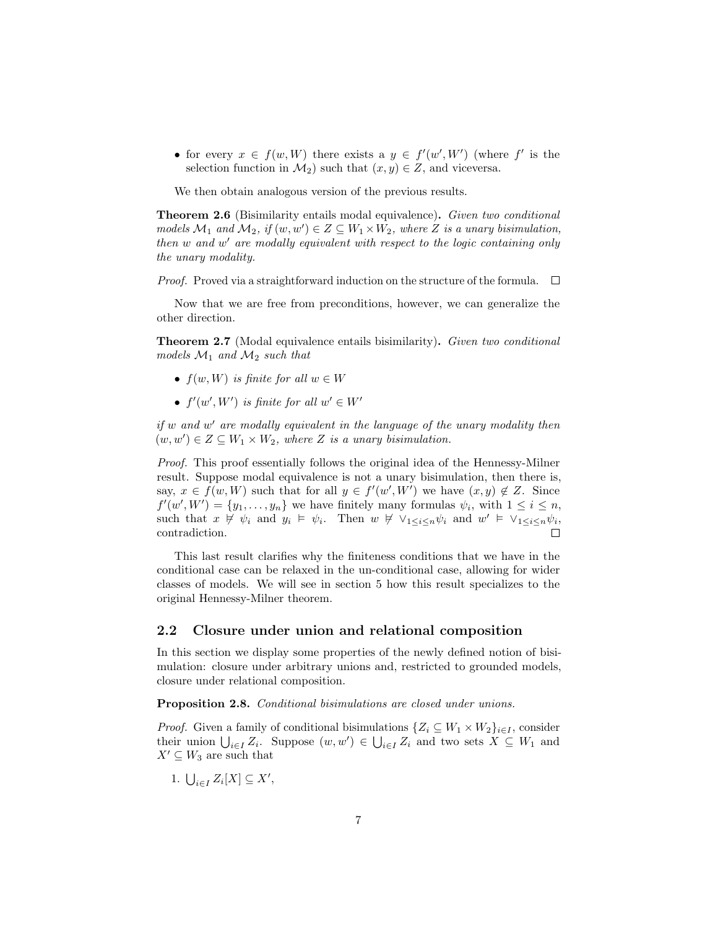• for every  $x \in f(w, W)$  there exists a  $y \in f'(w', W')$  (where f' is the selection function in  $\mathcal{M}_2$ ) such that  $(x, y) \in Z$ , and viceversa.

We then obtain analogous version of the previous results.

**Theorem 2.6** (Bisimilarity entails modal equivalence). Given two conditional models  $\mathcal{M}_1$  and  $\mathcal{M}_2$ , if  $(w, w') \in Z \subseteq W_1 \times W_2$ , where Z is a unary bisimulation, then w and w' are modally equivalent with respect to the logic containing only the unary modality.

*Proof.* Proved via a straightforward induction on the structure of the formula.  $\square$ 

Now that we are free from preconditions, however, we can generalize the other direction.

Theorem 2.7 (Modal equivalence entails bisimilarity). Given two conditional models  $\mathcal{M}_1$  and  $\mathcal{M}_2$  such that

- $f(w, W)$  is finite for all  $w \in W$
- $f'(w', W')$  is finite for all  $w' \in W'$

if  $w$  and  $w'$  are modally equivalent in the language of the unary modality then  $(w, w') \in Z \subseteq W_1 \times W_2$ , where Z is a unary bisimulation.

Proof. This proof essentially follows the original idea of the Hennessy-Milner result. Suppose modal equivalence is not a unary bisimulation, then there is, say,  $x \in f(w, W)$  such that for all  $y \in f'(w', W')$  we have  $(x, y) \notin Z$ . Since  $f'(w', W') = \{y_1, \ldots, y_n\}$  we have finitely many formulas  $\psi_i$ , with  $1 \leq i \leq n$ , such that  $x \not\vdash \psi_i$  and  $y_i \models \psi_i$ . Then  $w \not\vdash \vee_{1 \leq i \leq n} \psi_i$  and  $w' \models \vee_{1 \leq i \leq n} \psi_i$ contradiction.

This last result clarifies why the finiteness conditions that we have in the conditional case can be relaxed in the un-conditional case, allowing for wider classes of models. We will see in section 5 how this result specializes to the original Hennessy-Milner theorem.

#### 2.2 Closure under union and relational composition

In this section we display some properties of the newly defined notion of bisimulation: closure under arbitrary unions and, restricted to grounded models, closure under relational composition.

Proposition 2.8. Conditional bisimulations are closed under unions.

*Proof.* Given a family of conditional bisimulations  $\{Z_i \subseteq W_1 \times W_2\}_{i \in I}$ , consider their union  $\bigcup_{i\in I} Z_i$ . Suppose  $(w, w') \in \bigcup_{i\in I} Z_i$  and two sets  $X \subseteq W_1$  and  $X' \subseteq W_3$  are such that

1.  $\bigcup_{i\in I} Z_i[X] \subseteq X'$ ,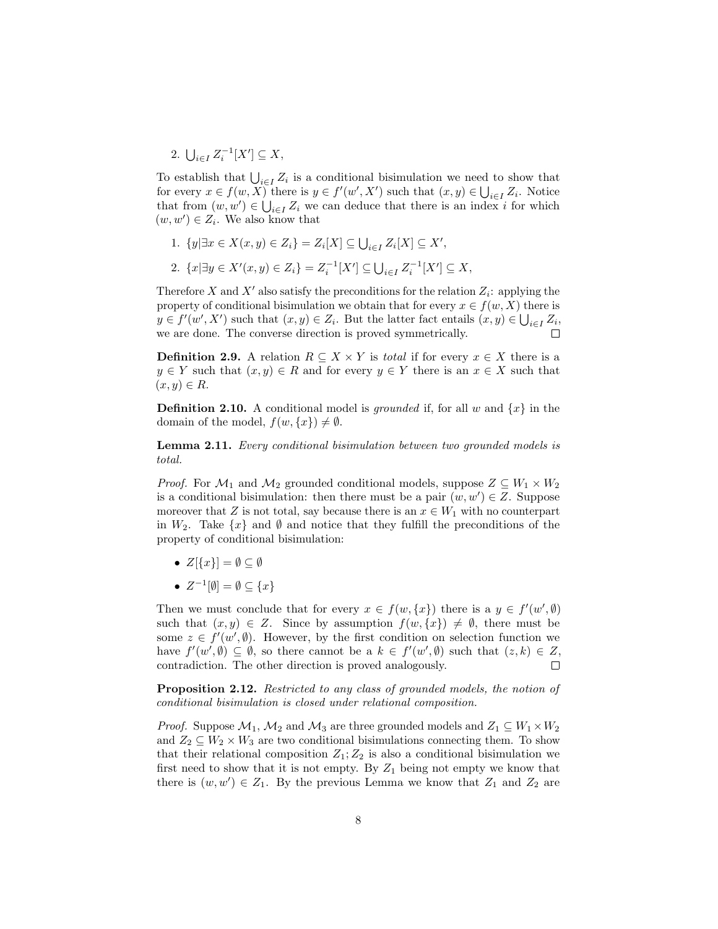2.  $\bigcup_{i \in I} Z_i^{-1}[X'] \subseteq X,$ 

To establish that  $\bigcup_{i \in I} Z_i$  is a conditional bisimulation we need to show that for every  $x \in f(w, \overline{X})$  there is  $y \in f'(w', X')$  such that  $(x, y) \in \bigcup_{i \in I} Z_i$ . Notice that from  $(w, w') \in \bigcup_{i \in I} Z_i$  we can deduce that there is an index i for which  $(w, w') \in Z_i$ . We also know that

- 1.  $\{y | \exists x \in X(x, y) \in Z_i\} = Z_i[X] \subseteq \bigcup_{i \in I} Z_i[X] \subseteq X'$ ,
- 2.  $\{x | \exists y \in X'(x, y) \in Z_i\} = Z_i^{-1}[X'] \subseteq \bigcup_{i \in I} Z_i^{-1}[X'] \subseteq X$ ,

Therefore X and X' also satisfy the preconditions for the relation  $Z_i$ : applying the property of conditional bisimulation we obtain that for every  $x \in f(w, X)$  there is  $y \in f'(w', X')$  such that  $(x, y) \in Z_i$ . But the latter fact entails  $(x, y) \in \bigcup_{i \in I} Z_i$ , we are done. The converse direction is proved symmetrically.

**Definition 2.9.** A relation  $R \subseteq X \times Y$  is *total* if for every  $x \in X$  there is a  $y \in Y$  such that  $(x, y) \in R$  and for every  $y \in Y$  there is an  $x \in X$  such that  $(x, y) \in R$ .

**Definition 2.10.** A conditional model is *grounded* if, for all w and  $\{x\}$  in the domain of the model,  $f(w, \{x\}) \neq \emptyset$ .

Lemma 2.11. Every conditional bisimulation between two grounded models is total.

*Proof.* For  $\mathcal{M}_1$  and  $\mathcal{M}_2$  grounded conditional models, suppose  $Z \subseteq W_1 \times W_2$ is a conditional bisimulation: then there must be a pair  $(w, w') \in Z$ . Suppose moreover that Z is not total, say because there is an  $x \in W_1$  with no counterpart in  $W_2$ . Take  $\{x\}$  and  $\emptyset$  and notice that they fulfill the preconditions of the property of conditional bisimulation:

- $Z[\{x\}] = \emptyset \subseteq \emptyset$
- $Z^{-1}[\emptyset] = \emptyset \subseteq \{x\}$

Then we must conclude that for every  $x \in f(w, \{x\})$  there is a  $y \in f'(w', \emptyset)$ such that  $(x, y) \in Z$ . Since by assumption  $f(w, \{x\}) \neq \emptyset$ , there must be some  $z \in f'(w', \emptyset)$ . However, by the first condition on selection function we have  $f'(w', \emptyset) \subseteq \emptyset$ , so there cannot be a  $k \in f'(w', \emptyset)$  such that  $(z, k) \in Z$ , contradiction. The other direction is proved analogously.  $\Box$ 

Proposition 2.12. Restricted to any class of grounded models, the notion of conditional bisimulation is closed under relational composition.

*Proof.* Suppose  $\mathcal{M}_1$ ,  $\mathcal{M}_2$  and  $\mathcal{M}_3$  are three grounded models and  $Z_1 \subseteq W_1 \times W_2$ and  $Z_2 \subseteq W_2 \times W_3$  are two conditional bisimulations connecting them. To show that their relational composition  $Z_1; Z_2$  is also a conditional bisimulation we first need to show that it is not empty. By  $Z_1$  being not empty we know that there is  $(w, w') \in Z_1$ . By the previous Lemma we know that  $Z_1$  and  $Z_2$  are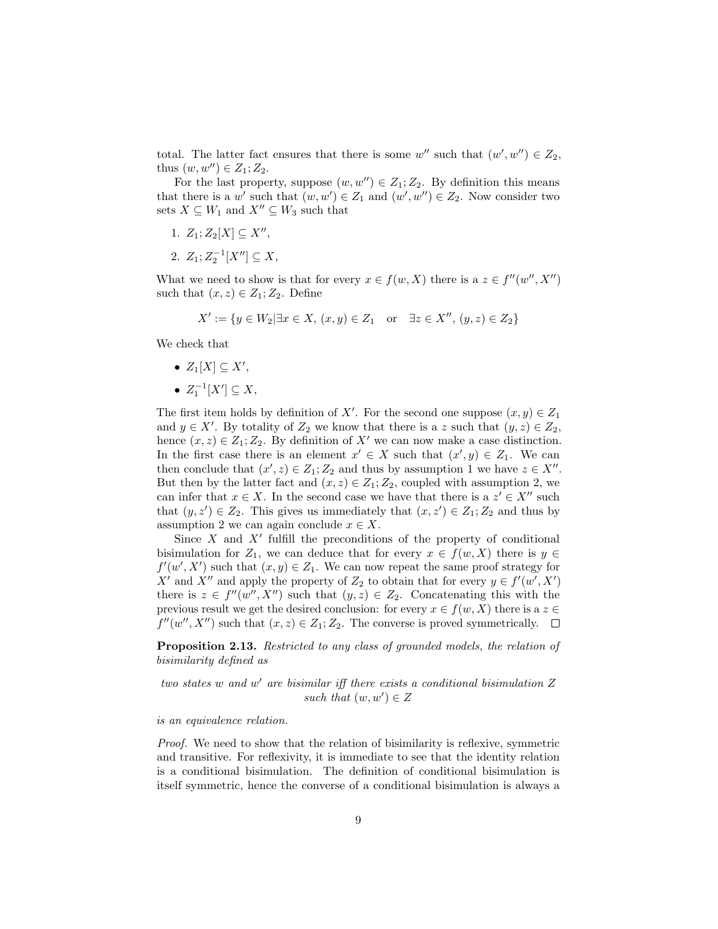total. The latter fact ensures that there is some  $w''$  such that  $(w', w'') \in Z_2$ , thus  $(w, w'') \in Z_1; Z_2$ .

For the last property, suppose  $(w, w'') \in Z_1; Z_2$ . By definition this means that there is a w' such that  $(w, w') \in Z_1$  and  $(w', w'') \in Z_2$ . Now consider two sets  $X \subseteq W_1$  and  $X'' \subseteq W_3$  such that

- 1.  $Z_1; Z_2[X] \subseteq X'',$
- 2.  $Z_1; Z_2^{-1}[X''] \subseteq X,$

What we need to show is that for every  $x \in f(w, X)$  there is a  $z \in f''(w'', X'')$ such that  $(x, z) \in Z_1; Z_2$ . Define

$$
X' := \{ y \in W_2 | \exists x \in X, (x, y) \in Z_1 \text{ or } \exists z \in X'', (y, z) \in Z_2 \}
$$

We check that

•  $Z_1[X] \subseteq X'$ , •  $Z_1^{-1}[X'] \subseteq X$ ,

The first item holds by definition of X'. For the second one suppose  $(x, y) \in Z_1$ and  $y \in X'$ . By totality of  $Z_2$  we know that there is a z such that  $(y, z) \in Z_2$ , hence  $(x, z) \in Z_1; Z_2$ . By definition of X' we can now make a case distinction. In the first case there is an element  $x' \in X$  such that  $(x', y) \in Z_1$ . We can then conclude that  $(x', z) \in Z_1; Z_2$  and thus by assumption 1 we have  $z \in X''$ . But then by the latter fact and  $(x, z) \in Z_1; Z_2$ , coupled with assumption 2, we can infer that  $x \in X$ . In the second case we have that there is a  $z' \in X''$  such that  $(y, z') \in Z_2$ . This gives us immediately that  $(x, z') \in Z_1; Z_2$  and thus by assumption 2 we can again conclude  $x \in X$ .

Since  $X$  and  $X'$  fulfill the preconditions of the property of conditional bisimulation for  $Z_1$ , we can deduce that for every  $x \in f(w, X)$  there is  $y \in$  $f'(w', X')$  such that  $(x, y) \in Z_1$ . We can now repeat the same proof strategy for X' and X'' and apply the property of  $Z_2$  to obtain that for every  $y \in f'(w', X')$ there is  $z \in f''(w'', X'')$  such that  $(y, z) \in Z_2$ . Concatenating this with the previous result we get the desired conclusion: for every  $x \in f(w, X)$  there is a  $z \in$  $f''(w'', X'')$  such that  $(x, z) \in Z_1; Z_2$ . The converse is proved symmetrically.

Proposition 2.13. Restricted to any class of grounded models, the relation of bisimilarity defined as

two states  $w$  and  $w'$  are bisimilar iff there exists a conditional bisimulation  $Z$ such that  $(w, w') \in Z$ 

is an equivalence relation.

Proof. We need to show that the relation of bisimilarity is reflexive, symmetric and transitive. For reflexivity, it is immediate to see that the identity relation is a conditional bisimulation. The definition of conditional bisimulation is itself symmetric, hence the converse of a conditional bisimulation is always a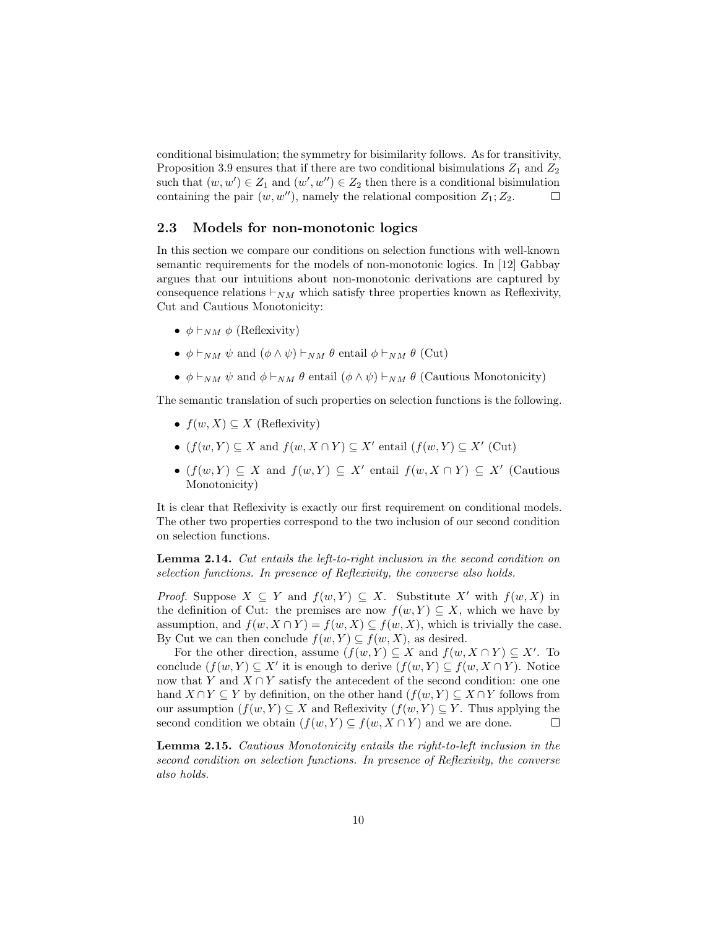conditional bisimulation; the symmetry for bisimilarity follows. As for transitivity, Proposition 3.9 ensures that if there are two conditional bisimulations  $Z_1$  and  $Z_2$ such that  $(w, w') \in Z_1$  and  $(w', w'') \in Z_2$  then there is a conditional bisimulation containing the pair  $(w, w'')$ , namely the relational composition  $Z_1; Z_2$ .  $\mathbb{R}^n$ 

#### 2.3 Models for non-monotonic logics

In this section we compare our conditions on selection functions with well-known semantic requirements for the models of non-monotonic logics. In [12] Gabbay argues that our intuitions about non-monotonic derivations are captured by consequence relations  $\vdash_{NM}$  which satisfy three properties known as Reflexivity, Cut and Cautious Monotonicity:

- $\phi \vdash_{NM} \phi$  (Reflexivity)
- $\phi \vdash_{NM} \psi$  and  $(\phi \land \psi) \vdash_{NM} \theta$  entail  $\phi \vdash_{NM} \theta$  (Cut)
- $\phi \vdash_{NM} \psi$  and  $\phi \vdash_{NM} \theta$  entail  $(\phi \land \psi) \vdash_{NM} \theta$  (Cautious Monotonicity)

The semantic translation of such properties on selection functions is the following.

- $f(w, X) \subseteq X$  (Reflexivity)
- $(f(w, Y) \subseteq X$  and  $f(w, X \cap Y) \subseteq X'$  entail  $(f(w, Y) \subseteq X'$  (Cut)
- $(f(w, Y) \subseteq X$  and  $f(w, Y) \subseteq X'$  entail  $f(w, X \cap Y) \subseteq X'$  (Cautious Monotonicity)

It is clear that Reflexivity is exactly our first requirement on conditional models. The other two properties correspond to the two inclusion of our second condition on selection functions.

Lemma 2.14. Cut entails the left-to-right inclusion in the second condition on selection functions. In presence of Reflexivity, the converse also holds.

*Proof.* Suppose  $X \subseteq Y$  and  $f(w, Y) \subseteq X$ . Substitute X' with  $f(w, X)$  in the definition of Cut: the premises are now  $f(w, Y) \subseteq X$ , which we have by assumption, and  $f(w, X \cap Y) = f(w, X) \subseteq f(w, X)$ , which is trivially the case. By Cut we can then conclude  $f(w, Y) \subseteq f(w, X)$ , as desired.

For the other direction, assume  $(f(w, Y) \subseteq X$  and  $f(w, X \cap Y) \subseteq X'$ . To conclude  $(f(w, Y) \subseteq X'$  it is enough to derive  $(f(w, Y) \subseteq f(w, X \cap Y)$ . Notice now that Y and  $X \cap Y$  satisfy the antecedent of the second condition: one one hand  $X \cap Y \subseteq Y$  by definition, on the other hand  $(f(w, Y) \subseteq X \cap Y$  follows from our assumption  $(f(w, Y) \subseteq X$  and Reflexivity  $(f(w, Y) \subseteq Y$ . Thus applying the second condition we obtain  $(f(w, Y) \subseteq f(w, X \cap Y)$  and we are done.  $\Box$ 

Lemma 2.15. Cautious Monotonicity entails the right-to-left inclusion in the second condition on selection functions. In presence of Reflexivity, the converse also holds.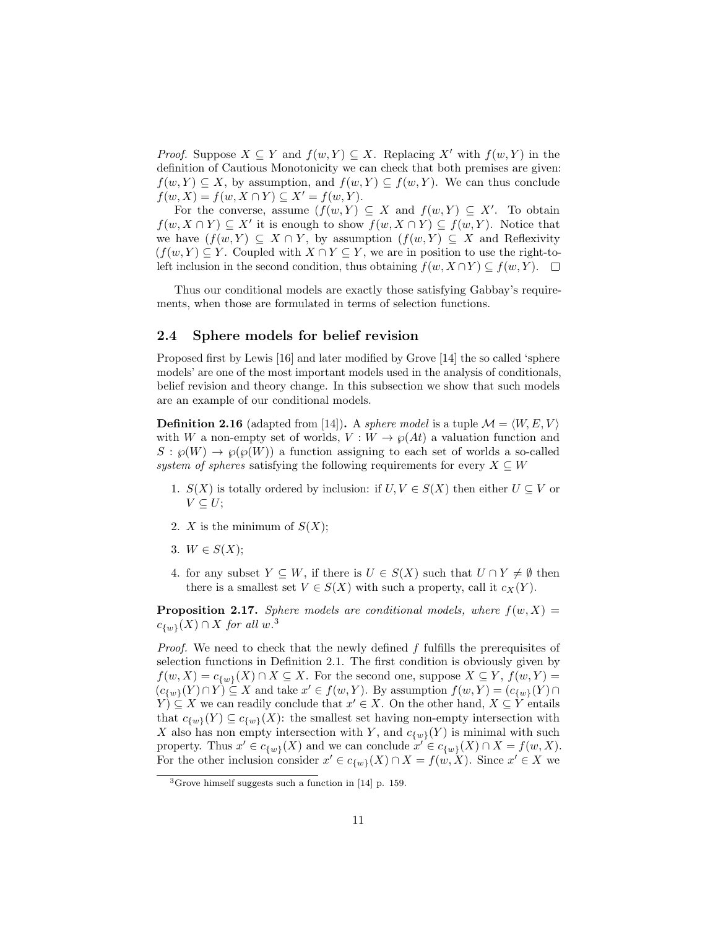*Proof.* Suppose  $X \subseteq Y$  and  $f(w, Y) \subseteq X$ . Replacing X' with  $f(w, Y)$  in the definition of Cautious Monotonicity we can check that both premises are given:  $f(w, Y) \subseteq X$ , by assumption, and  $f(w, Y) \subseteq f(w, Y)$ . We can thus conclude  $f(w, X) = f(w, X \cap Y) \subseteq X' = f(w, Y).$ 

For the converse, assume  $(f(w, Y) \subseteq X$  and  $f(w, Y) \subseteq X'$ . To obtain  $f(w, X \cap Y) \subseteq X'$  it is enough to show  $f(w, X \cap Y) \subseteq f(w, Y)$ . Notice that we have  $(f(w, Y) \subseteq X \cap Y$ , by assumption  $(f(w, Y) \subseteq X$  and Reflexivity  $(f(w, Y) \subseteq Y$ . Coupled with  $X \cap Y \subseteq Y$ , we are in position to use the right-toleft inclusion in the second condition, thus obtaining  $f(w, X \cap Y) \subseteq f(w, Y)$ .

Thus our conditional models are exactly those satisfying Gabbay's requirements, when those are formulated in terms of selection functions.

#### 2.4 Sphere models for belief revision

Proposed first by Lewis [16] and later modified by Grove [14] the so called 'sphere models' are one of the most important models used in the analysis of conditionals, belief revision and theory change. In this subsection we show that such models are an example of our conditional models.

**Definition 2.16** (adapted from [14]). A *sphere model* is a tuple  $\mathcal{M} = \langle W, E, V \rangle$ with W a non-empty set of worlds,  $V: W \to \wp(At)$  a valuation function and  $S: \wp(W) \to \wp(\wp(W))$  a function assigning to each set of worlds a so-called system of spheres satisfying the following requirements for every  $X \subseteq W$ 

- 1.  $S(X)$  is totally ordered by inclusion: if  $U, V \in S(X)$  then either  $U \subseteq V$  or  $V \subseteq U;$
- 2. X is the minimum of  $S(X)$ ;
- 3.  $W \in S(X)$ :
- 4. for any subset  $Y \subseteq W$ , if there is  $U \in S(X)$  such that  $U \cap Y \neq \emptyset$  then there is a smallest set  $V \in S(X)$  with such a property, call it  $c_X(Y)$ .

**Proposition 2.17.** Sphere models are conditional models, where  $f(w, X) =$  $c_{\{w\}}(X) \cap X$  for all w.<sup>3</sup>

*Proof.* We need to check that the newly defined  $f$  fulfills the prerequisites of selection functions in Definition 2.1. The first condition is obviously given by  $f(w, X) = c_{\{w\}}(X) \cap X \subseteq X$ . For the second one, suppose  $X \subseteq Y$ ,  $f(w, Y) =$  $(c_{\{w\}}(Y) \cap Y) \subseteq X$  and take  $x' \in f(w, Y)$ . By assumption  $f(w, Y) = (c_{\{w\}}(Y) \cap Y)$  $(Y) \subseteq X$  we can readily conclude that  $x' \in X$ . On the other hand,  $X \subseteq Y$  entails that  $c_{\{w\}}(Y) \subseteq c_{\{w\}}(X)$ : the smallest set having non-empty intersection with X also has non empty intersection with Y, and  $c_{\{w\}}(Y)$  is minimal with such property. Thus  $x' \in c_{\{w\}}(X)$  and we can conclude  $x' \in c_{\{w\}}(X) \cap X = f(w, X)$ . For the other inclusion consider  $x' \in c_{\{w\}}(X) \cap X = f(w, X)$ . Since  $x' \in X$  we

 ${}^{3}$ Grove himself suggests such a function in [14] p. 159.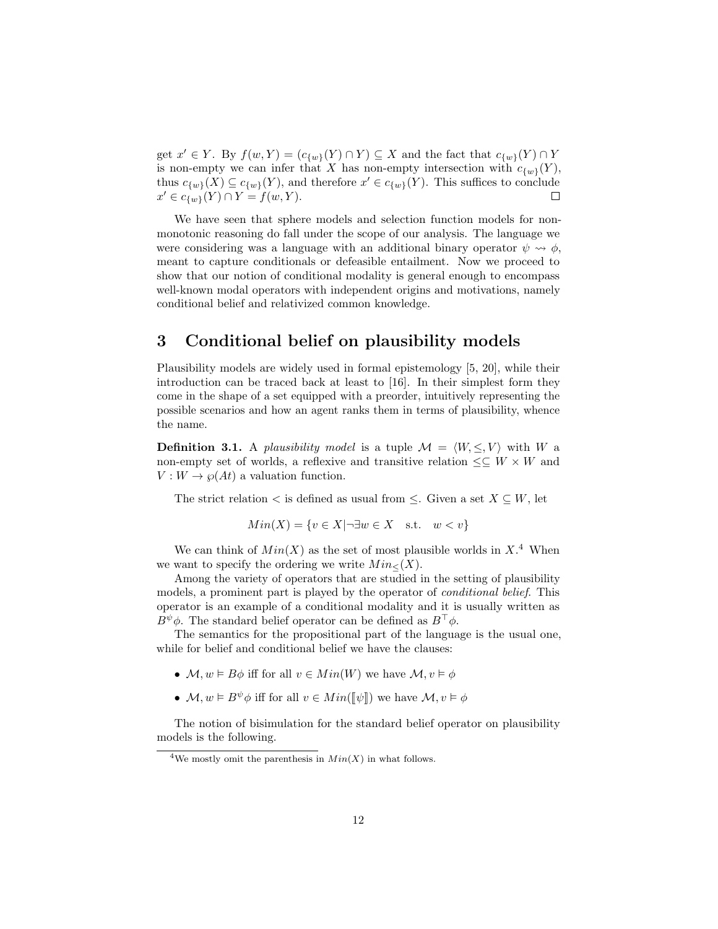get  $x' \in Y$ . By  $f(w, Y) = (c_{\{w\}}(Y) \cap Y) \subseteq X$  and the fact that  $c_{\{w\}}(Y) \cap Y$ is non-empty we can infer that X has non-empty intersection with  $c_{\{w\}}(Y)$ , thus  $c_{\{w\}}(X) \subseteq c_{\{w\}}(Y)$ , and therefore  $x' \in c_{\{w\}}(Y)$ . This suffices to conclude  $x' \in c_{\{w\}}(Y) \cap Y = f(w, Y).$  $\Box$ 

We have seen that sphere models and selection function models for nonmonotonic reasoning do fall under the scope of our analysis. The language we were considering was a language with an additional binary operator  $\psi \rightsquigarrow \phi$ , meant to capture conditionals or defeasible entailment. Now we proceed to show that our notion of conditional modality is general enough to encompass well-known modal operators with independent origins and motivations, namely conditional belief and relativized common knowledge.

## 3 Conditional belief on plausibility models

Plausibility models are widely used in formal epistemology [5, 20], while their introduction can be traced back at least to [16]. In their simplest form they come in the shape of a set equipped with a preorder, intuitively representing the possible scenarios and how an agent ranks them in terms of plausibility, whence the name.

**Definition 3.1.** A plausibility model is a tuple  $\mathcal{M} = \langle W, \leq, V \rangle$  with W a non-empty set of worlds, a reflexive and transitive relation  $\leq \subseteq W \times W$  and  $V: W \to \wp(At)$  a valuation function.

The strict relation  $\lt$  is defined as usual from  $\leq$ . Given a set  $X \subseteq W$ , let

$$
Min(X) = \{ v \in X | \neg \exists w \in X \quad \text{s.t.} \quad w < v \}
$$

We can think of  $Min(X)$  as the set of most plausible worlds in  $X<sup>4</sup>$  When we want to specify the ordering we write  $Min_{\leq}(X)$ .

Among the variety of operators that are studied in the setting of plausibility models, a prominent part is played by the operator of conditional belief. This operator is an example of a conditional modality and it is usually written as  $B^{\psi}\phi$ . The standard belief operator can be defined as  $B^{\top}\phi$ .

The semantics for the propositional part of the language is the usual one, while for belief and conditional belief we have the clauses:

- $\mathcal{M}, w \models B\phi$  iff for all  $v \in Min(W)$  we have  $\mathcal{M}, v \models \phi$
- $M, w \models B^{\psi} \phi$  iff for all  $v \in Min(\llbracket \psi \rrbracket)$  we have  $M, v \models \phi$

The notion of bisimulation for the standard belief operator on plausibility models is the following.

<sup>&</sup>lt;sup>4</sup>We mostly omit the parenthesis in  $Min(X)$  in what follows.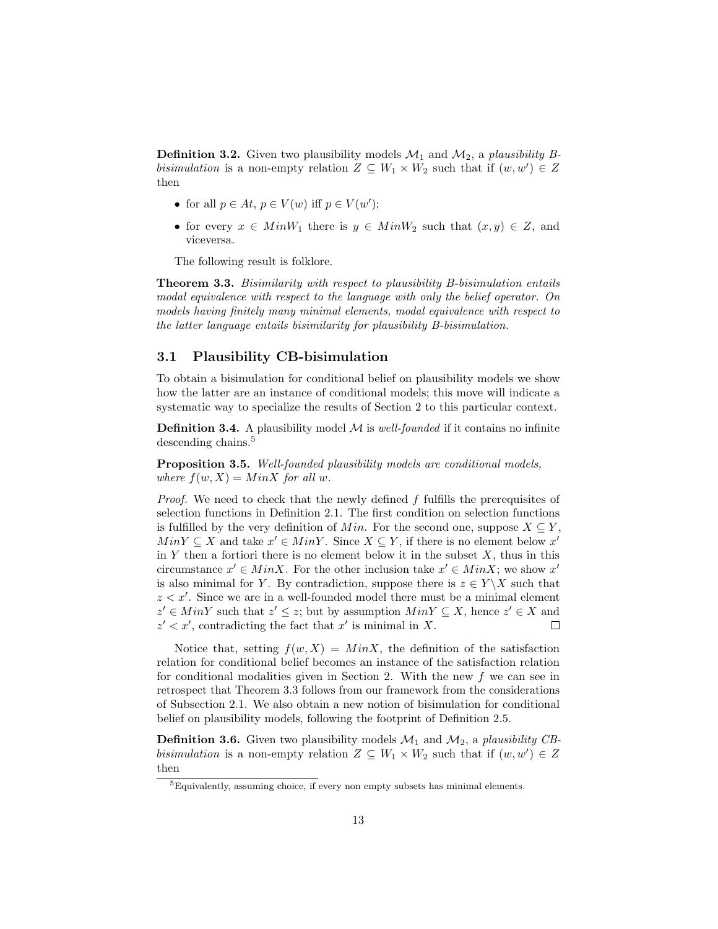**Definition 3.2.** Given two plausibility models  $\mathcal{M}_1$  and  $\mathcal{M}_2$ , a plausibility Bbisimulation is a non-empty relation  $Z \subseteq W_1 \times W_2$  such that if  $(w, w') \in Z$ then

- for all  $p \in At, p \in V(w)$  iff  $p \in V(w')$ ;
- for every  $x \in MinW_1$  there is  $y \in MinW_2$  such that  $(x, y) \in Z$ , and viceversa.

The following result is folklore.

Theorem 3.3. Bisimilarity with respect to plausibility B-bisimulation entails modal equivalence with respect to the language with only the belief operator. On models having finitely many minimal elements, modal equivalence with respect to the latter language entails bisimilarity for plausibility B-bisimulation.

#### 3.1 Plausibility CB-bisimulation

To obtain a bisimulation for conditional belief on plausibility models we show how the latter are an instance of conditional models; this move will indicate a systematic way to specialize the results of Section 2 to this particular context.

**Definition 3.4.** A plausibility model  $M$  is *well-founded* if it contains no infinite descending chains.<sup>5</sup>

Proposition 3.5. Well-founded plausibility models are conditional models, where  $f(w, X) = MinX$  for all w.

*Proof.* We need to check that the newly defined  $f$  fulfills the prerequisites of selection functions in Definition 2.1. The first condition on selection functions is fulfilled by the very definition of Min. For the second one, suppose  $X \subseteq Y$ ,  $Min Y \subseteq X$  and take  $x' \in Min Y$ . Since  $X \subseteq Y$ , if there is no element below  $x'$ in  $Y$  then a fortiori there is no element below it in the subset  $X$ , thus in this circumstance  $x' \in MinX$ . For the other inclusion take  $x' \in MinX$ ; we show x' is also minimal for Y. By contradiction, suppose there is  $z \in Y \backslash X$  such that  $z < x'$ . Since we are in a well-founded model there must be a minimal element  $z' \in MinY$  such that  $z' \leq z$ ; but by assumption  $MinY \subseteq X$ , hence  $z' \in X$  and  $z' < x'$ , contradicting the fact that x' is minimal in X.  $\Box$ 

Notice that, setting  $f(w, X) = MinX$ , the definition of the satisfaction relation for conditional belief becomes an instance of the satisfaction relation for conditional modalities given in Section 2. With the new  $f$  we can see in retrospect that Theorem 3.3 follows from our framework from the considerations of Subsection 2.1. We also obtain a new notion of bisimulation for conditional belief on plausibility models, following the footprint of Definition 2.5.

**Definition 3.6.** Given two plausibility models  $\mathcal{M}_1$  and  $\mathcal{M}_2$ , a plausibility CBbisimulation is a non-empty relation  $Z \subseteq W_1 \times W_2$  such that if  $(w, w') \in Z$ then

<sup>5</sup>Equivalently, assuming choice, if every non empty subsets has minimal elements.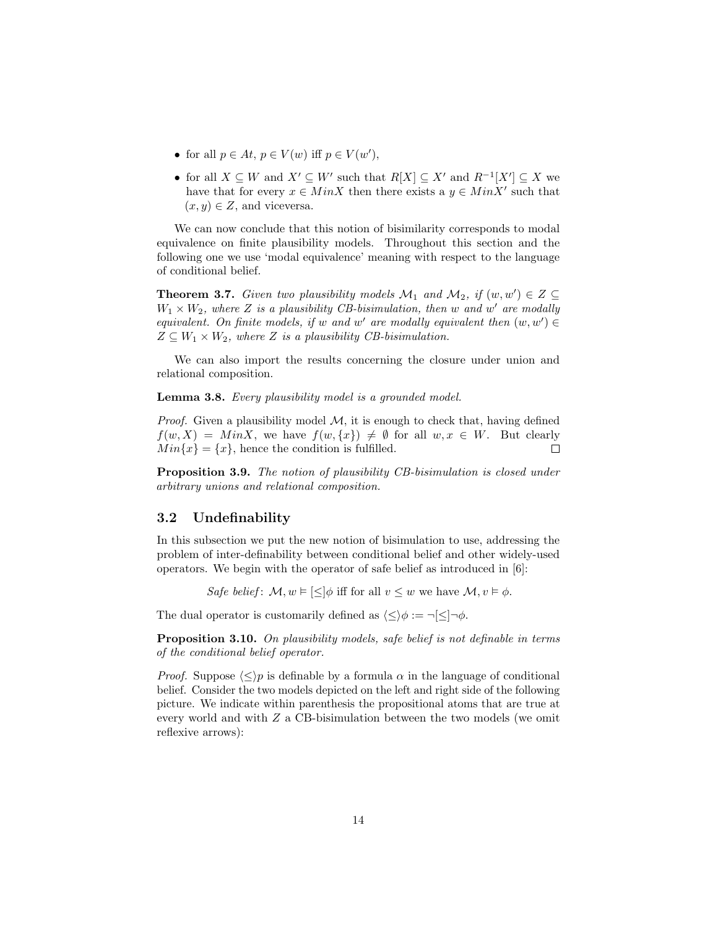- for all  $p \in At, p \in V(w)$  iff  $p \in V(w'),$
- for all  $X \subseteq W$  and  $X' \subseteq W'$  such that  $R[X] \subseteq X'$  and  $R^{-1}[X'] \subseteq X$  we have that for every  $x \in MinX$  then there exists a  $y \in MinX'$  such that  $(x, y) \in Z$ , and viceversa.

We can now conclude that this notion of bisimilarity corresponds to modal equivalence on finite plausibility models. Throughout this section and the following one we use 'modal equivalence' meaning with respect to the language of conditional belief.

**Theorem 3.7.** Given two plausibility models  $\mathcal{M}_1$  and  $\mathcal{M}_2$ , if  $(w, w') \in Z \subseteq \mathcal{M}_1$  $W_1 \times W_2$ , where Z is a plausibility CB-bisimulation, then w and w' are modally equivalent. On finite models, if w and w' are modally equivalent then  $(w, w') \in$  $Z \subseteq W_1 \times W_2$ , where Z is a plausibility CB-bisimulation.

We can also import the results concerning the closure under union and relational composition.

Lemma 3.8. Every plausibility model is a grounded model.

*Proof.* Given a plausibility model  $M$ , it is enough to check that, having defined  $f(w, X) = MinX$ , we have  $f(w, \{x\}) \neq \emptyset$  for all  $w, x \in W$ . But clearly  $Min\{x\} = \{x\}$ , hence the condition is fulfilled.  $\Box$ 

Proposition 3.9. The notion of plausibility CB-bisimulation is closed under arbitrary unions and relational composition.

#### 3.2 Undefinability

In this subsection we put the new notion of bisimulation to use, addressing the problem of inter-definability between conditional belief and other widely-used operators. We begin with the operator of safe belief as introduced in [6]:

Safe belief:  $\mathcal{M}, w \models \llbracket \lt \rrbracket \phi$  iff for all  $v \lt w$  we have  $\mathcal{M}, v \models \phi$ .

The dual operator is customarily defined as  $\langle \leq \rangle \phi := \neg[\leq] \neg \phi$ .

Proposition 3.10. On plausibility models, safe belief is not definable in terms of the conditional belief operator.

*Proof.* Suppose  $\langle \leq \rangle p$  is definable by a formula  $\alpha$  in the language of conditional belief. Consider the two models depicted on the left and right side of the following picture. We indicate within parenthesis the propositional atoms that are true at every world and with Z a CB-bisimulation between the two models (we omit reflexive arrows):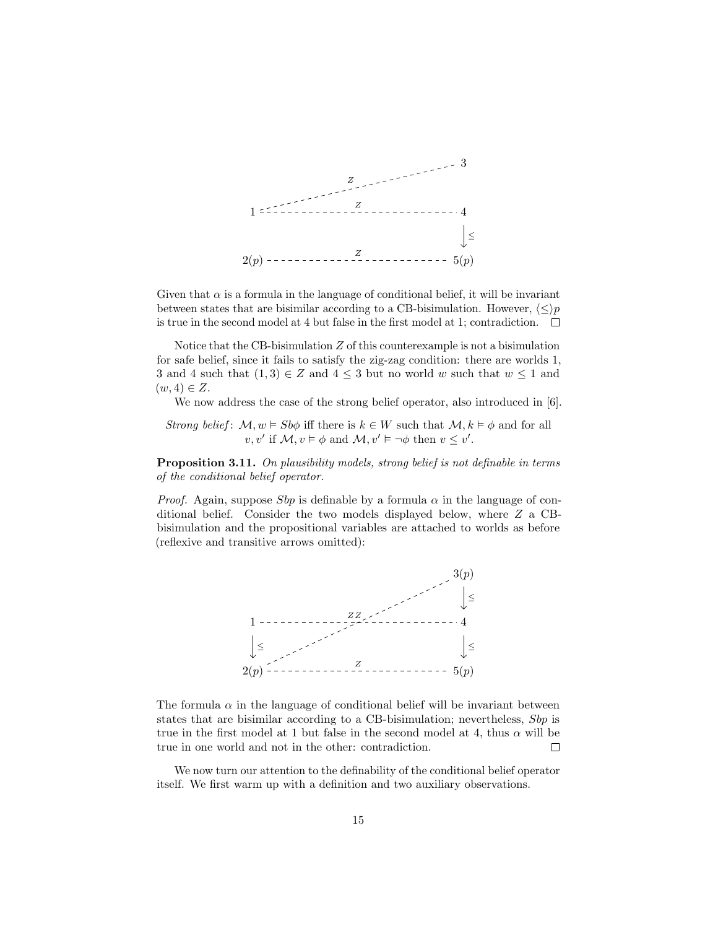

Given that  $\alpha$  is a formula in the language of conditional belief, it will be invariant between states that are bisimilar according to a CB-bisimulation. However,  $\langle \leq \rangle p$ is true in the second model at 4 but false in the first model at 1; contradiction.  $\Box$ 

Notice that the CB-bisimulation  $Z$  of this counterexample is not a bisimulation for safe belief, since it fails to satisfy the zig-zag condition: there are worlds 1, 3 and 4 such that  $(1,3) \in Z$  and  $4 \leq 3$  but no world w such that  $w \leq 1$  and  $(w, 4) \in Z$ .

We now address the case of the strong belief operator, also introduced in [6].

Strong belief:  $\mathcal{M}, w \models Sb\phi$  iff there is  $k \in W$  such that  $\mathcal{M}, k \models \phi$  and for all  $v, v'$  if  $\mathcal{M}, v \models \phi$  and  $\mathcal{M}, v' \models \neg \phi$  then  $v \leq v'$ .

Proposition 3.11. On plausibility models, strong belief is not definable in terms of the conditional belief operator.

*Proof.* Again, suppose Sbp is definable by a formula  $\alpha$  in the language of conditional belief. Consider the two models displayed below, where Z a CBbisimulation and the propositional variables are attached to worlds as before (reflexive and transitive arrows omitted):



The formula  $\alpha$  in the language of conditional belief will be invariant between states that are bisimilar according to a CB-bisimulation; nevertheless, Sbp is true in the first model at 1 but false in the second model at 4, thus  $\alpha$  will be true in one world and not in the other: contradiction.  $\Box$ 

We now turn our attention to the definability of the conditional belief operator itself. We first warm up with a definition and two auxiliary observations.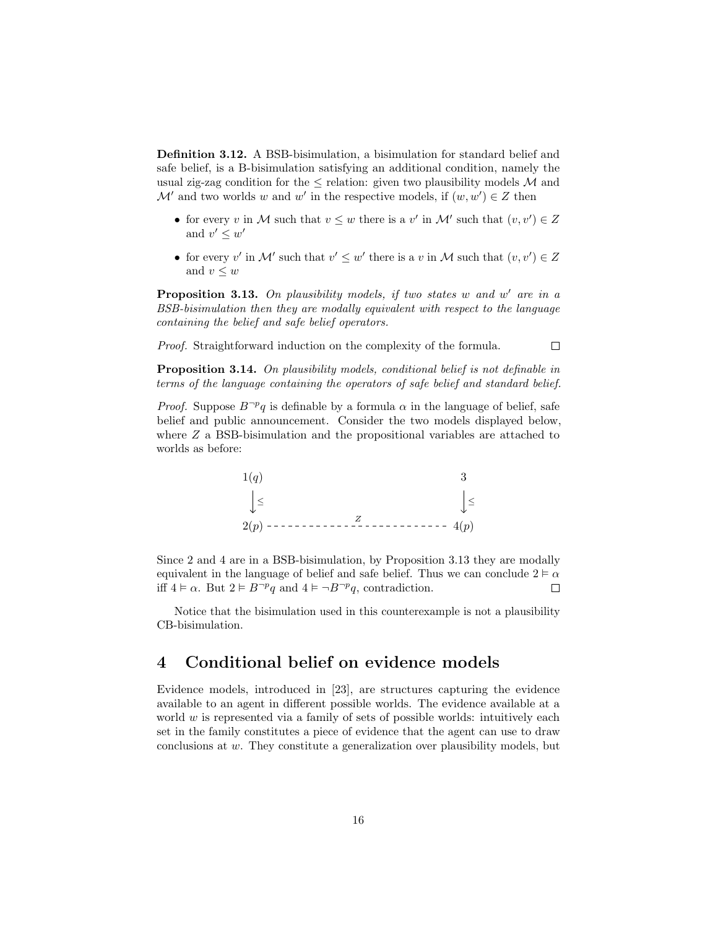Definition 3.12. A BSB-bisimulation, a bisimulation for standard belief and safe belief, is a B-bisimulation satisfying an additional condition, namely the usual zig-zag condition for the  $\leq$  relation: given two plausibility models M and  $\mathcal{M}'$  and two worlds w and w' in the respective models, if  $(w, w') \in \mathbb{Z}$  then

- for every v in M such that  $v \leq w$  there is a v' in M' such that  $(v, v') \in Z$ and  $v' \leq w'$
- for every v' in M' such that  $v' \leq w'$  there is a v in M such that  $(v, v') \in Z$ and  $v \leq w$

Proposition 3.13. On plausibility models, if two states  $w$  and  $w'$  are in a BSB-bisimulation then they are modally equivalent with respect to the language containing the belief and safe belief operators.

Proof. Straightforward induction on the complexity of the formula.

Proposition 3.14. On plausibility models, conditional belief is not definable in terms of the language containing the operators of safe belief and standard belief.

 $\Box$ 

*Proof.* Suppose  $B^{\neg p}q$  is definable by a formula  $\alpha$  in the language of belief, safe belief and public announcement. Consider the two models displayed below, where Z a BSB-bisimulation and the propositional variables are attached to worlds as before:



Since 2 and 4 are in a BSB-bisimulation, by Proposition 3.13 they are modally equivalent in the language of belief and safe belief. Thus we can conclude  $2 \vDash \alpha$ iff  $4 \vDash \alpha$ . But  $2 \vDash B^{\neg p}q$  and  $4 \vDash \neg B^{\neg p}q$ , contradiction.  $\Box$ 

Notice that the bisimulation used in this counterexample is not a plausibility CB-bisimulation.

### 4 Conditional belief on evidence models

Evidence models, introduced in [23], are structures capturing the evidence available to an agent in different possible worlds. The evidence available at a world  $w$  is represented via a family of sets of possible worlds: intuitively each set in the family constitutes a piece of evidence that the agent can use to draw conclusions at w. They constitute a generalization over plausibility models, but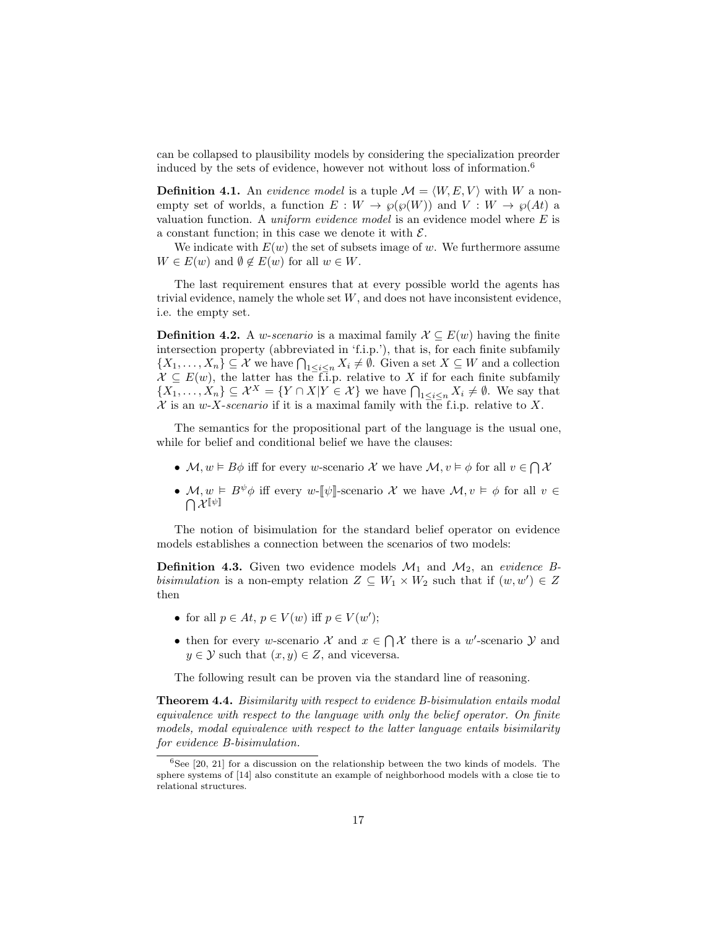can be collapsed to plausibility models by considering the specialization preorder induced by the sets of evidence, however not without loss of information.<sup>6</sup>

**Definition 4.1.** An evidence model is a tuple  $\mathcal{M} = \langle W, E, V \rangle$  with W a nonempty set of worlds, a function  $E: W \to \wp(\wp(W))$  and  $V: W \to \wp(At)$  a valuation function. A *uniform evidence model* is an evidence model where  $E$  is a constant function; in this case we denote it with  $\mathcal{E}$ .

We indicate with  $E(w)$  the set of subsets image of w. We furthermore assume  $W \in E(w)$  and  $\emptyset \notin E(w)$  for all  $w \in W$ .

The last requirement ensures that at every possible world the agents has trivial evidence, namely the whole set  $W$ , and does not have inconsistent evidence, i.e. the empty set.

**Definition 4.2.** A *w-scenario* is a maximal family  $\mathcal{X} \subseteq E(w)$  having the finite intersection property (abbreviated in 'f.i.p.'), that is, for each finite subfamily  $\{X_1,\ldots,X_n\}\subseteq \mathcal{X}$  we have  $\bigcap_{1\leq i\leq n}X_i\neq\emptyset$ . Given a set  $X\subseteq W$  and a collection  $\mathcal{X} \subseteq E(w)$ , the latter has the f.i.p. relative to X if for each finite subfamily  $\{X_1,\ldots,X_n\} \subseteq \mathcal{X}^X = \{Y \cap X | Y \in \mathcal{X}\}\$  we have  $\bigcap_{1 \leq i \leq n} X_i \neq \emptyset$ . We say that X is an w-X-scenario if it is a maximal family with the f.i.p. relative to X.

The semantics for the propositional part of the language is the usual one, while for belief and conditional belief we have the clauses:

- $M, w \models B\phi$  iff for every w-scenario X we have  $M, v \models \phi$  for all  $v \in \bigcap \mathcal{X}$
- $M, w \models B^{\psi} \phi$  iff every w-[ $\psi$ ]-scenario X we have  $M, v \models \phi$  for all  $v \in$  $\bigcap \mathcal{X}^{\llbracket \psi \rrbracket}$

The notion of bisimulation for the standard belief operator on evidence models establishes a connection between the scenarios of two models:

**Definition 4.3.** Given two evidence models  $M_1$  and  $M_2$ , an evidence Bbisimulation is a non-empty relation  $Z \subseteq W_1 \times W_2$  such that if  $(w, w') \in Z$ then

- for all  $p \in At, p \in V(w)$  iff  $p \in V(w')$ ;
- then for every w-scenario X and  $x \in \bigcap \mathcal{X}$  there is a w'-scenario Y and  $y \in \mathcal{Y}$  such that  $(x, y) \in Z$ , and viceversa.

The following result can be proven via the standard line of reasoning.

Theorem 4.4. Bisimilarity with respect to evidence B-bisimulation entails modal equivalence with respect to the language with only the belief operator. On finite models, modal equivalence with respect to the latter language entails bisimilarity for evidence B-bisimulation.

 $6$ See [20, 21] for a discussion on the relationship between the two kinds of models. The sphere systems of [14] also constitute an example of neighborhood models with a close tie to relational structures.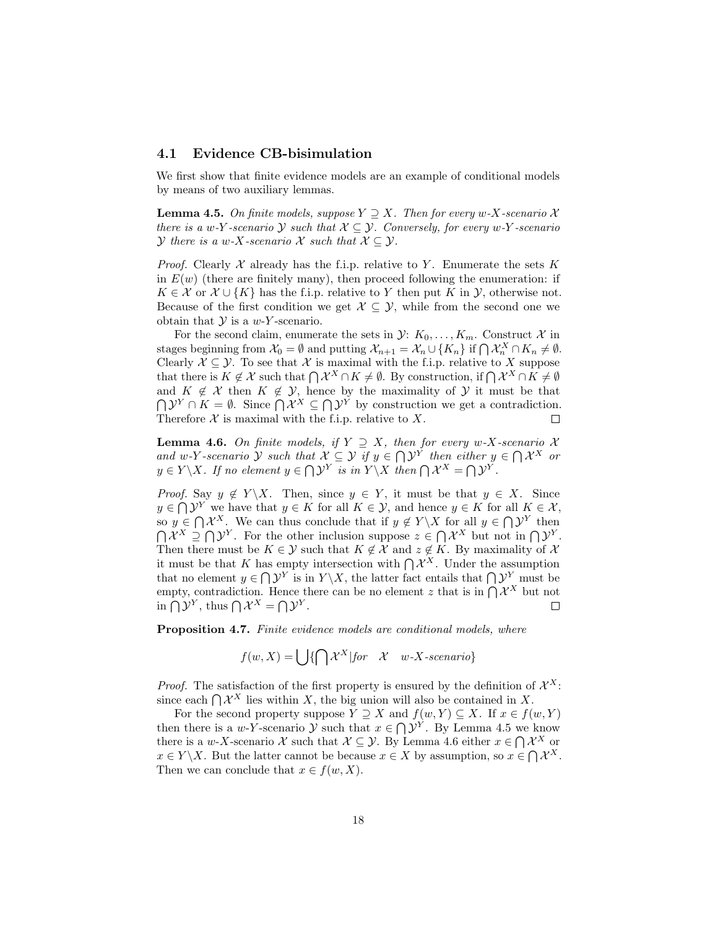#### 4.1 Evidence CB-bisimulation

We first show that finite evidence models are an example of conditional models by means of two auxiliary lemmas.

**Lemma 4.5.** On finite models, suppose  $Y \supseteq X$ . Then for every w-X-scenario X there is a w-Y-scenario Y such that  $X \subseteq Y$ . Conversely, for every w-Y-scenario *Y* there is a w-X-scenario X such that  $X \subseteq Y$ .

*Proof.* Clearly  $X$  already has the f.i.p. relative to Y. Enumerate the sets K in  $E(w)$  (there are finitely many), then proceed following the enumeration: if  $K \in \mathcal{X}$  or  $\mathcal{X} \cup \{K\}$  has the f.i.p. relative to Y then put K in Y, otherwise not. Because of the first condition we get  $\mathcal{X} \subseteq \mathcal{Y}$ , while from the second one we obtain that  $Y$  is a  $w$ -Y-scenario.

For the second claim, enumerate the sets in  $\mathcal{Y}: K_0, \ldots, K_m$ . Construct X in stages beginning from  $\mathcal{X}_0 = \emptyset$  and putting  $\mathcal{X}_{n+1} = \mathcal{X}_n \cup \{K_n\}$  if  $\bigcap \mathcal{X}_n^X \cap K_n \neq \emptyset$ . Clearly  $X \subseteq \mathcal{Y}$ . To see that X is maximal with the f.i.p. relative to X suppose that there is  $K \notin \mathcal{X}$  such that  $\bigcap \mathcal{X}^X \cap K \neq \emptyset$ . By construction, if  $\bigcap \mathcal{X}^X \cap K \neq \emptyset$ and  $K \notin \mathcal{X}$  then  $K \notin \mathcal{Y}$ , hence by the maximality of  $\mathcal{Y}$  it must be that  $\bigcap \mathcal{Y}^Y \cap K = \emptyset$ . Since  $\bigcap \mathcal{X}^X \subseteq \bigcap \mathcal{Y}^Y$  by construction we get a contradiction. Therefore  $X$  is maximal with the f.i.p. relative to  $X$ .  $\Box$ 

**Lemma 4.6.** On finite models, if  $Y \supseteq X$ , then for every w-X-scenario X and w-Y-scenario Y such that  $X \subseteq Y$  if  $y \in \bigcap Y^Y$  then either  $y \in \bigcap X^X$  or  $y \in Y \backslash X$ . If no element  $y \in \bigcap \mathcal{Y}^Y$  is in  $Y \backslash X$  then  $\bigcap \mathcal{X}^X = \bigcap \mathcal{Y}^Y$ .

*Proof.* Say  $y \notin Y \backslash X$ . Then, since  $y \in Y$ , it must be that  $y \in X$ . Since  $y \in \bigcap \mathcal{Y}^Y$  we have that  $y \in K$  for all  $K \in \mathcal{Y}$ , and hence  $y \in K$  for all  $K \in \mathcal{X}$ , so  $y \in \bigcap \mathcal{X}^X$ . We can thus conclude that if  $y \notin Y \backslash X$  for all  $y \in \bigcap \mathcal{Y}^Y$  then  $\bigcap \mathcal{X}^X \supseteq \bigcap \mathcal{Y}^Y$ . For the other inclusion suppose  $z \in \bigcap \mathcal{X}^X$  but not in  $\bigcap \mathcal{Y}^Y$ . Then there must be  $K \in \mathcal{Y}$  such that  $K \notin \mathcal{X}$  and  $z \notin K$ . By maximality of  $\mathcal{X}$ it must be that K has empty intersection with  $\bigcap \mathcal{X}^X$ . Under the assumption that no element  $y \in \bigcap \mathcal{Y}^Y$  is in  $Y \setminus X$ , the latter fact entails that  $\bigcap \mathcal{Y}^Y$  must be empty, contradiction. Hence there can be no element z that is in  $\bigcap \mathcal{X}^X$  but not in  $\bigcap \mathcal{Y}^Y$ , thus  $\bigcap \mathcal{X}^X = \bigcap \mathcal{Y}^Y$ .  $\Box$ 

Proposition 4.7. Finite evidence models are conditional models, where

 $f(w, X) = \int \int {\int \mathcal{X}^X |for \mathcal{X} w-X\text{-}scenario}$ 

*Proof.* The satisfaction of the first property is ensured by the definition of  $\mathcal{X}^X$ : since each  $\bigcap \mathcal{X}^X$  lies within X, the big union will also be contained in X.

For the second property suppose  $Y \supseteq X$  and  $f(w, Y) \subseteq X$ . If  $x \in f(w, Y)$ then there is a w-Y-scenario  $\mathcal{Y}$  such that  $x \in \bigcap \mathcal{Y}^Y$ . By Lemma 4.5 we know there is a w-X-scenario X such that  $\mathcal{X} \subseteq \mathcal{Y}$ . By Lemma 4.6 either  $x \in \bigcap \mathcal{X}^X$  or  $x \in Y \backslash X$ . But the latter cannot be because  $x \in X$  by assumption, so  $x \in \bigcap \mathcal{X}^X$ . Then we can conclude that  $x \in f(w, X)$ .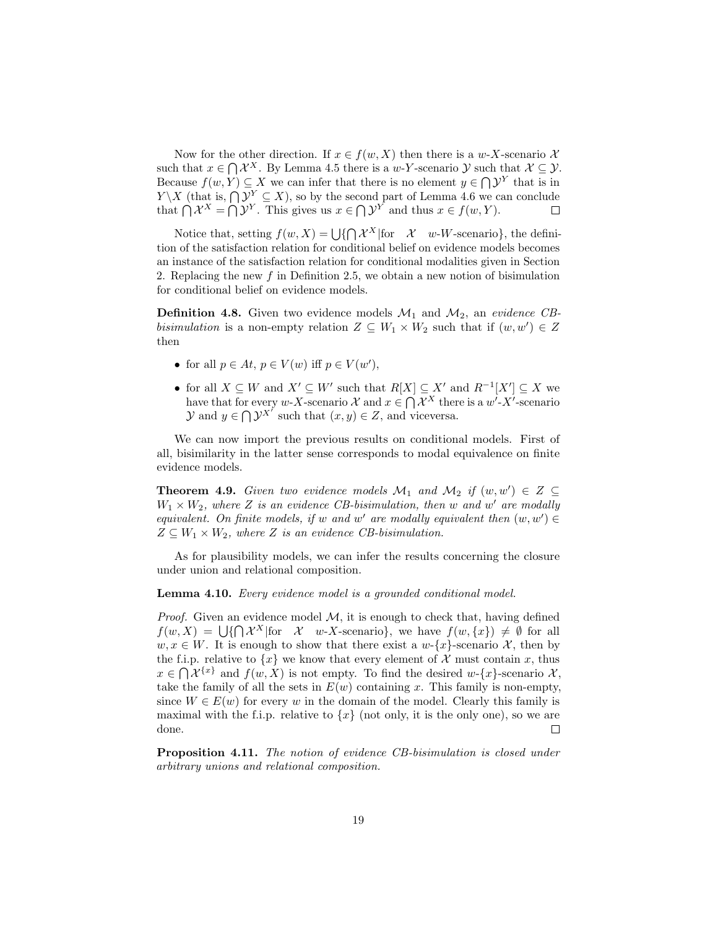Now for the other direction. If  $x \in f(w, X)$  then there is a w-X-scenario X such that  $x \in \bigcap \mathcal{X}^X$ . By Lemma 4.5 there is a w-Y-scenario  $\mathcal{Y}$  such that  $\mathcal{X} \subseteq \mathcal{Y}$ . Because  $f(w, Y) \subseteq X$  we can infer that there is no element  $y \in \bigcap \mathcal{Y}^Y$  that is in  $Y \backslash X$  (that is,  $\bigcap \mathcal{Y}^Y \subseteq X$ ), so by the second part of Lemma 4.6 we can conclude that  $\bigcap \mathcal{X}^X = \bigcap \mathcal{Y}^Y$ . This gives us  $x \in \bigcap \mathcal{Y}^Y$  and thus  $x \in f(w, Y)$ .

Notice that, setting  $f(w, X) = \bigcup \{ \bigcap \mathcal{X}^X | \text{for } X \quad w \text{-}W \text{-scenario} \},\$ the definition of the satisfaction relation for conditional belief on evidence models becomes an instance of the satisfaction relation for conditional modalities given in Section 2. Replacing the new  $f$  in Definition 2.5, we obtain a new notion of bisimulation for conditional belief on evidence models.

**Definition 4.8.** Given two evidence models  $\mathcal{M}_1$  and  $\mathcal{M}_2$ , an evidence CBbisimulation is a non-empty relation  $Z \subseteq W_1 \times W_2$  such that if  $(w, w') \in Z$ then

- for all  $p \in At, p \in V(w)$  iff  $p \in V(w'),$
- for all  $X \subseteq W$  and  $X' \subseteq W'$  such that  $R[X] \subseteq X'$  and  $R^{-1}[X'] \subseteq X$  we have that for every w-X-scenario  $\mathcal{X}$  and  $x \in \bigcap \mathcal{X}^X$  there is a w'-X'-scenario  $\mathcal{Y}$  and  $y \in \bigcap \mathcal{Y}^{X'}$  such that  $(x, y) \in Z$ , and viceversa.

We can now import the previous results on conditional models. First of all, bisimilarity in the latter sense corresponds to modal equivalence on finite evidence models.

**Theorem 4.9.** Given two evidence models  $\mathcal{M}_1$  and  $\mathcal{M}_2$  if  $(w, w') \in Z \subseteq$  $W_1 \times W_2$ , where Z is an evidence CB-bisimulation, then w and w' are modally equivalent. On finite models, if w and w' are modally equivalent then  $(w, w') \in$  $Z \subseteq W_1 \times W_2$ , where Z is an evidence CB-bisimulation.

As for plausibility models, we can infer the results concerning the closure under union and relational composition.

Lemma 4.10. Every evidence model is a grounded conditional model.

*Proof.* Given an evidence model  $M$ , it is enough to check that, having defined  $f(w, X) = \bigcup \{ \bigcap \mathcal{X}^X | \text{for } \mathcal{X} \text{ w-X-scenario} \}, \text{ we have } f(w, \{x\}) \neq \emptyset \text{ for all }$  $w, x \in W$ . It is enough to show that there exist a  $w-\{x\}$ -scenario X, then by the f.i.p. relative to  $\{x\}$  we know that every element of X must contain x, thus  $x \in \bigcap \mathcal{X}^{\{x\}}$  and  $f(w, X)$  is not empty. To find the desired w-{x}-scenario  $\mathcal{X},$ take the family of all the sets in  $E(w)$  containing x. This family is non-empty, since  $W \in E(w)$  for every w in the domain of the model. Clearly this family is maximal with the f.i.p. relative to  $\{x\}$  (not only, it is the only one), so we are done.  $\Box$ 

Proposition 4.11. The notion of evidence CB-bisimulation is closed under arbitrary unions and relational composition.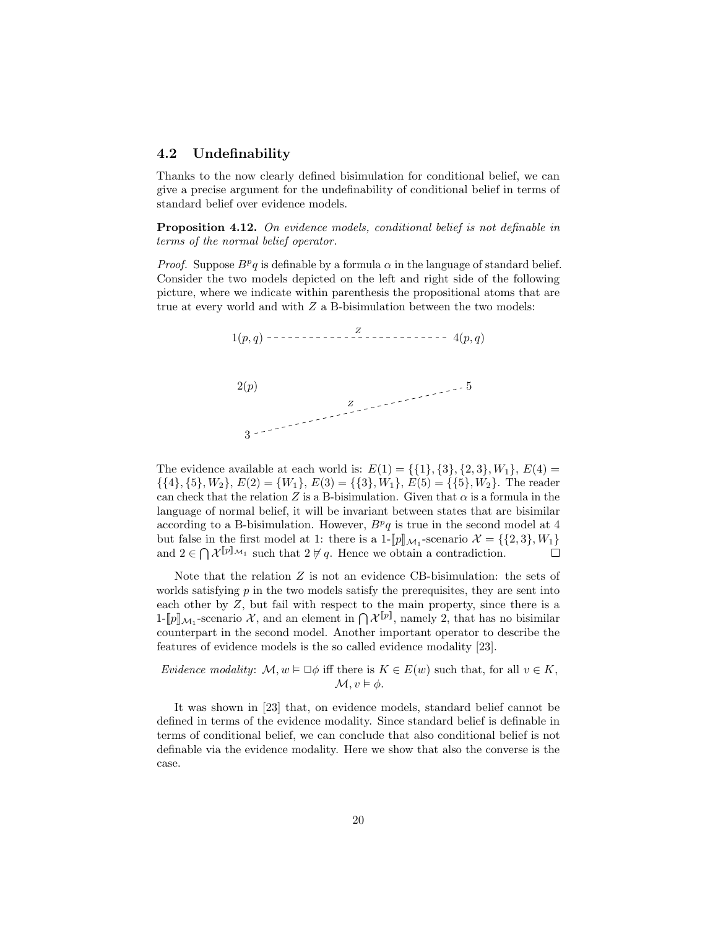#### 4.2 Undefinability

Thanks to the now clearly defined bisimulation for conditional belief, we can give a precise argument for the undefinability of conditional belief in terms of standard belief over evidence models.

Proposition 4.12. On evidence models, conditional belief is not definable in terms of the normal belief operator.

*Proof.* Suppose  $B^p q$  is definable by a formula  $\alpha$  in the language of standard belief. Consider the two models depicted on the left and right side of the following picture, where we indicate within parenthesis the propositional atoms that are true at every world and with  $Z$  a B-bisimulation between the two models:



The evidence available at each world is:  $E(1) = \{\{1\}, \{3\}, \{2, 3\}, W_1\}, E(4) =$  $\{\{4\},\{5\},W_2\}, E(2) = \{W_1\}, E(3) = \{\{3\},W_1\}, E(5) = \{\{5\},W_2\}.$  The reader can check that the relation Z is a B-bisimulation. Given that  $\alpha$  is a formula in the language of normal belief, it will be invariant between states that are bisimilar according to a B-bisimulation. However,  $B<sup>p</sup>q$  is true in the second model at 4 but false in the first model at 1: there is a  $1-[p]\mathcal{M}_1$ -scenario  $\mathcal{X} = \{\{2,3\}, W_1\}$ <br>and  $2 \in \Omega$   $\mathcal{Y}^{[p]\mathcal{M}_1}$  and that  $2 \nvdash a$ . Hence we obtain a contradiction and  $2 \in \bigcap \mathcal{X}^{\llbracket p \rrbracket_{\mathcal{M}_1}}$  such that  $2 \not\vdash q$ . Hence we obtain a contradiction.  $\Box$ 

Note that the relation  $Z$  is not an evidence CB-bisimulation: the sets of worlds satisfying  $p$  in the two models satisfy the prerequisites, they are sent into each other by Z, but fail with respect to the main property, since there is a  $1-[p]\mathcal{M}_1$ -scenario X, and an element in  $\bigcap \mathcal{X}^{[p]}$ , namely 2, that has no bisimilar counterpart in the second model. Another important eperctor to describe the counterpart in the second model. Another important operator to describe the features of evidence models is the so called evidence modality [23].

Evidence modality:  $\mathcal{M}, w \models \Box \phi$  iff there is  $K \in E(w)$  such that, for all  $v \in K$ ,  $\mathcal{M}, v \models \phi.$ 

It was shown in [23] that, on evidence models, standard belief cannot be defined in terms of the evidence modality. Since standard belief is definable in terms of conditional belief, we can conclude that also conditional belief is not definable via the evidence modality. Here we show that also the converse is the case.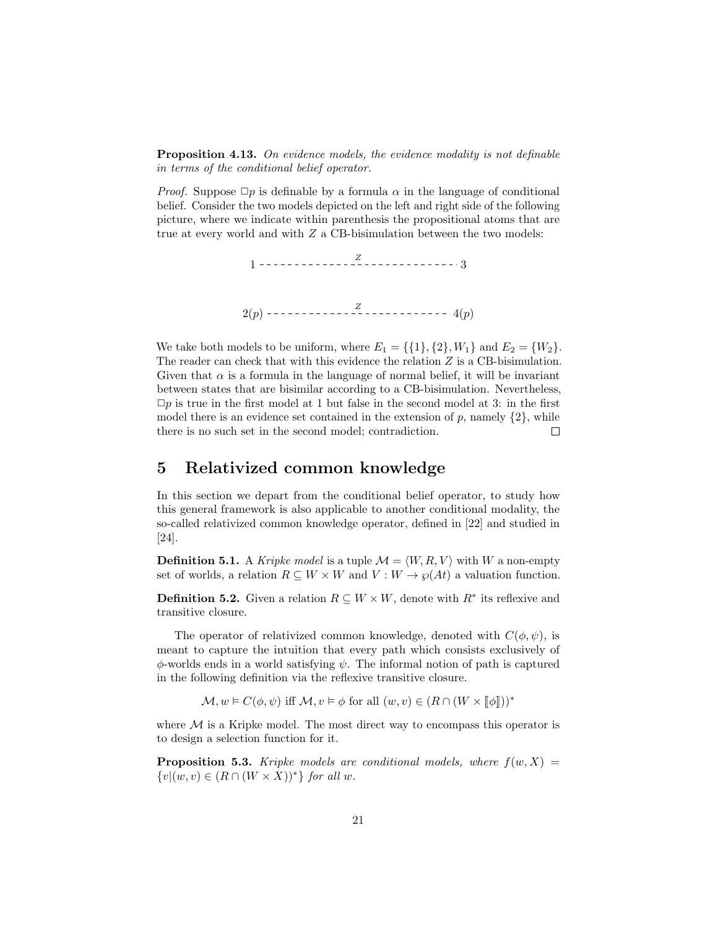**Proposition 4.13.** On evidence models, the evidence modality is not definable in terms of the conditional belief operator.

*Proof.* Suppose  $\Box p$  is definable by a formula  $\alpha$  in the language of conditional belief. Consider the two models depicted on the left and right side of the following picture, where we indicate within parenthesis the propositional atoms that are true at every world and with Z a CB-bisimulation between the two models:

1 3 2(p) 4(p) Z Z

We take both models to be uniform, where  $E_1 = \{\{1\}, \{2\}, W_1\}$  and  $E_2 = \{W_2\}.$ The reader can check that with this evidence the relation Z is a CB-bisimulation. Given that  $\alpha$  is a formula in the language of normal belief, it will be invariant between states that are bisimilar according to a CB-bisimulation. Nevertheless,  $\Box p$  is true in the first model at 1 but false in the second model at 3: in the first model there is an evidence set contained in the extension of  $p$ , namely  $\{2\}$ , while there is no such set in the second model; contradiction.  $\Box$ 

### 5 Relativized common knowledge

In this section we depart from the conditional belief operator, to study how this general framework is also applicable to another conditional modality, the so-called relativized common knowledge operator, defined in [22] and studied in [24].

**Definition 5.1.** A *Kripke model* is a tuple  $\mathcal{M} = \langle W, R, V \rangle$  with W a non-empty set of worlds, a relation  $R \subseteq W \times W$  and  $V : W \to \wp(At)$  a valuation function.

**Definition 5.2.** Given a relation  $R \subseteq W \times W$ , denote with  $R^*$  its reflexive and transitive closure.

The operator of relativized common knowledge, denoted with  $C(\phi, \psi)$ , is meant to capture the intuition that every path which consists exclusively of  $\phi$ -worlds ends in a world satisfying  $\psi$ . The informal notion of path is captured in the following definition via the reflexive transitive closure.

 $\mathcal{M}, w \models C(\phi, \psi)$  iff  $\mathcal{M}, v \models \phi$  for all  $(w, v) \in (R \cap (W \times [\![\phi]\!]))^*$ 

where  $M$  is a Kripke model. The most direct way to encompass this operator is to design a selection function for it.

**Proposition 5.3.** Kripke models are conditional models, where  $f(w, X) =$  $\{v|(w, v) \in (R \cap (W \times X))^*\}\$  for all w.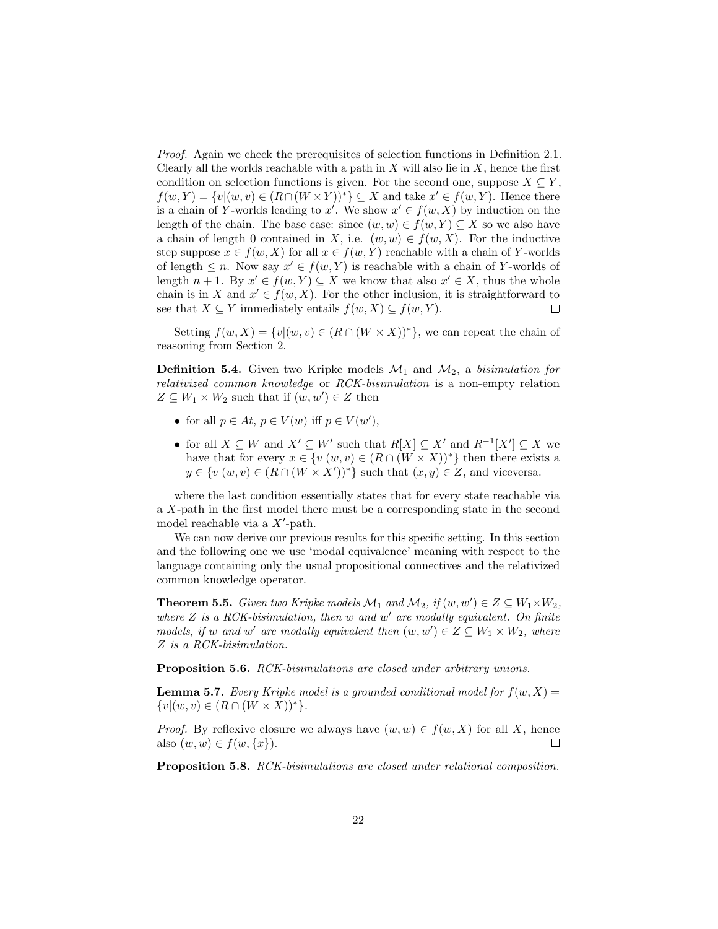Proof. Again we check the prerequisites of selection functions in Definition 2.1. Clearly all the worlds reachable with a path in  $X$  will also lie in  $X$ , hence the first condition on selection functions is given. For the second one, suppose  $X \subseteq Y$ ,  $f(w, Y) = \{v | (w, v) \in (R \cap (W \times Y))^*\} \subseteq X$  and take  $x' \in f(w, Y)$ . Hence there is a chain of Y-worlds leading to x'. We show  $x' \in f(w, X)$  by induction on the length of the chain. The base case: since  $(w, w) \in f(w, Y) \subseteq X$  so we also have a chain of length 0 contained in X, i.e.  $(w, w) \in f(w, X)$ . For the inductive step suppose  $x \in f(w, X)$  for all  $x \in f(w, Y)$  reachable with a chain of Y-worlds of length  $\leq n$ . Now say  $x' \in f(w, Y)$  is reachable with a chain of Y-worlds of length  $n + 1$ . By  $x' \in f(w, Y) \subseteq X$  we know that also  $x' \in X$ , thus the whole chain is in X and  $x' \in f(w, X)$ . For the other inclusion, it is straightforward to see that  $X \subseteq Y$  immediately entails  $f(w, X) \subseteq f(w, Y)$ .  $\Box$ 

Setting  $f(w, X) = \{v | (w, v) \in (R \cap (W \times X))^*\}$ , we can repeat the chain of reasoning from Section 2.

**Definition 5.4.** Given two Kripke models  $\mathcal{M}_1$  and  $\mathcal{M}_2$ , a bisimulation for relativized common knowledge or RCK-bisimulation is a non-empty relation  $Z \subseteq W_1 \times W_2$  such that if  $(w, w') \in Z$  then

- for all  $p \in At, p \in V(w)$  iff  $p \in V(w'),$
- for all  $X \subseteq W$  and  $X' \subseteq W'$  such that  $R[X] \subseteq X'$  and  $R^{-1}[X'] \subseteq X$  we have that for every  $x \in \{v | (w, v) \in (R \cap (W \times X))^* \}$  then there exists a  $y \in \{v | (w, v) \in (R \cap (W \times X'))^*\}$  such that  $(x, y) \in Z$ , and viceversa.

where the last condition essentially states that for every state reachable via a X-path in the first model there must be a corresponding state in the second model reachable via a  $X'$ -path.

We can now derive our previous results for this specific setting. In this section and the following one we use 'modal equivalence' meaning with respect to the language containing only the usual propositional connectives and the relativized common knowledge operator.

**Theorem 5.5.** Given two Kripke models  $\mathcal{M}_1$  and  $\mathcal{M}_2$ , if  $(w, w') \in Z \subseteq W_1 \times W_2$ , where  $Z$  is a RCK-bisimulation, then  $w$  and  $w'$  are modally equivalent. On finite models, if w and w' are modally equivalent then  $(w, w') \in Z \subseteq W_1 \times W_2$ , where Z is a RCK-bisimulation.

Proposition 5.6. RCK-bisimulations are closed under arbitrary unions.

**Lemma 5.7.** Every Kripke model is a grounded conditional model for  $f(w, X) =$  $\{v|(w, v) \in (R \cap (W \times X))^*\}.$ 

*Proof.* By reflexive closure we always have  $(w, w) \in f(w, X)$  for all X, hence also  $(w, w) \in f(w, \{x\})$ .  $\Box$ 

Proposition 5.8. RCK-bisimulations are closed under relational composition.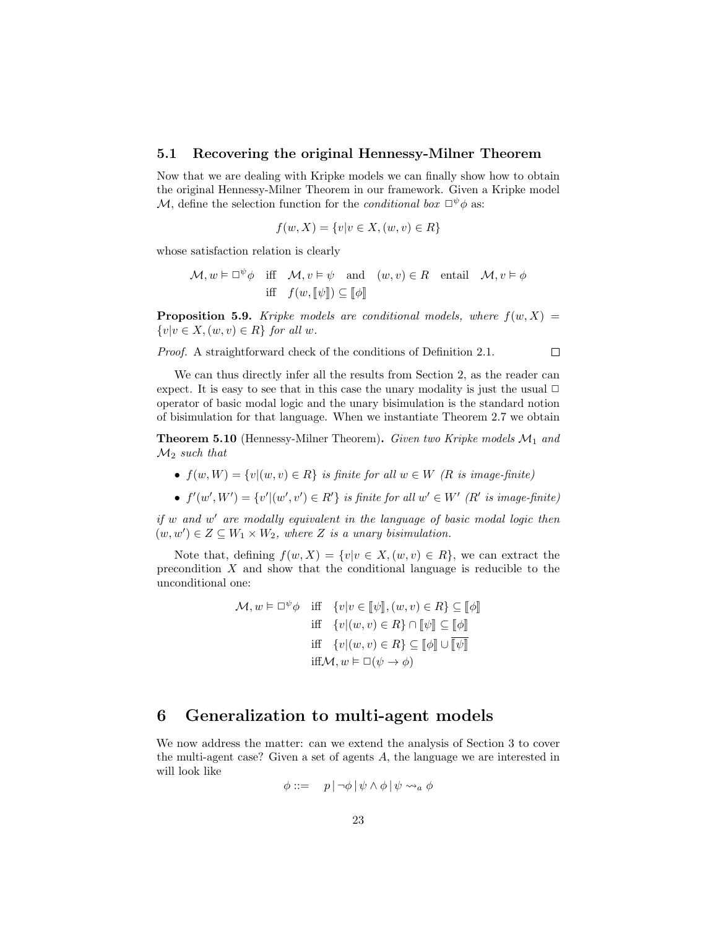#### 5.1 Recovering the original Hennessy-Milner Theorem

Now that we are dealing with Kripke models we can finally show how to obtain the original Hennessy-Milner Theorem in our framework. Given a Kripke model M, define the selection function for the *conditional box*  $\Box^{\psi}\phi$  as:

$$
f(w, X) = \{v | v \in X, (w, v) \in R\}
$$

whose satisfaction relation is clearly

$$
\mathcal{M}, w \vDash \Box^{\psi} \phi \quad \text{iff} \quad \mathcal{M}, v \vDash \psi \quad \text{and} \quad (w, v) \in R \quad \text{entail} \quad \mathcal{M}, v \vDash \phi
$$
  
iff  $f(w, [\![\psi]\!]) \subseteq [\![\phi]\!]$ 

**Proposition 5.9.** Kripke models are conditional models, where  $f(w, X) =$  $\{v|v \in X, (w, v) \in R\}$  for all w.

 $\Box$ 

Proof. A straightforward check of the conditions of Definition 2.1.

We can thus directly infer all the results from Section 2, as the reader can expect. It is easy to see that in this case the unary modality is just the usual  $\Box$ operator of basic modal logic and the unary bisimulation is the standard notion of bisimulation for that language. When we instantiate Theorem 2.7 we obtain

**Theorem 5.10** (Hennessy-Milner Theorem). Given two Kripke models  $\mathcal{M}_1$  and  $\mathcal{M}_2$  such that

- $f(w, W) = \{v | (w, v) \in R\}$  is finite for all  $w \in W$  (R is image-finite)
- $f'(w', W') = \{v' | (w', v') \in R'\}$  is finite for all  $w' \in W'$  (R' is image-finite)

if w and w' are modally equivalent in the language of basic modal logic then  $(w, w') \in Z \subseteq W_1 \times W_2$ , where Z is a unary bisimulation.

Note that, defining  $f(w, X) = \{v | v \in X, (w, v) \in R\}$ , we can extract the precondition  $X$  and show that the conditional language is reducible to the unconditional one:

> $\mathcal{M}, w \models \Box^{\psi} \phi$  iff  $\{v | v \in [\![\psi]\!], (w, v) \in R\} \subseteq [\![\phi]\!]$ iff  $\{v|(w, v) \in R\} \cap \llbracket \psi \rrbracket \subseteq \llbracket \phi \rrbracket$ iff  $\{v|(w, v) \in R\} \subseteq \llbracket \phi \rrbracket \cup \llbracket \overline{\psi} \rrbracket$ iff $\mathcal{M}, w \models \Box(\psi \rightarrow \phi)$

### 6 Generalization to multi-agent models

We now address the matter: can we extend the analysis of Section 3 to cover the multi-agent case? Given a set of agents A, the language we are interested in will look like

$$
\phi ::= \quad p \, |\, \neg \phi \, | \, \psi \wedge \phi \, | \, \psi \leadsto_a \phi
$$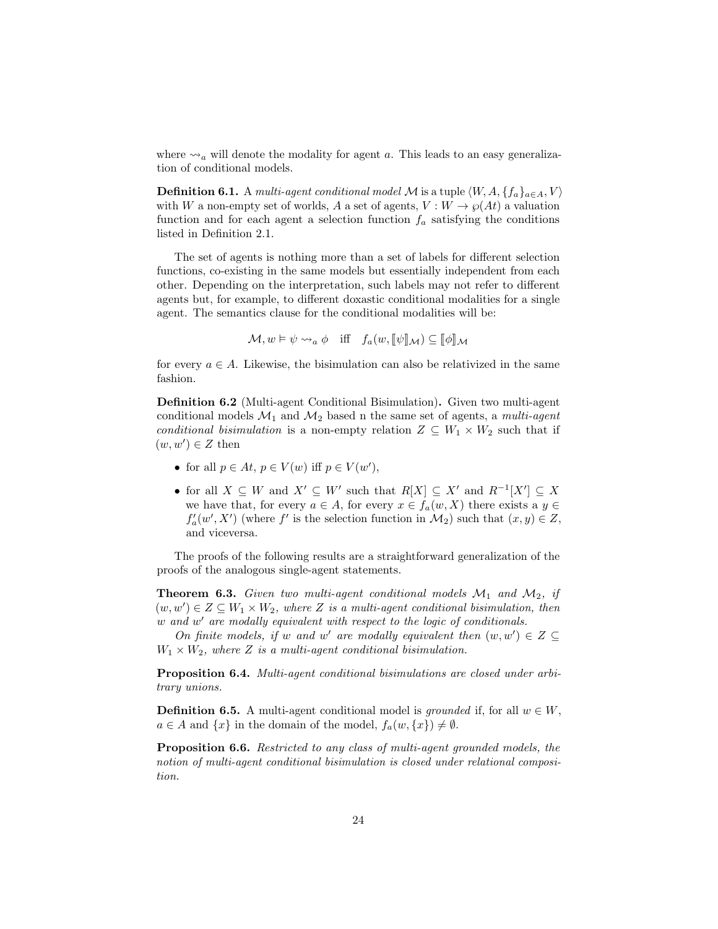where  $\leadsto_a$  will denote the modality for agent a. This leads to an easy generalization of conditional models.

**Definition 6.1.** A multi-agent conditional model M is a tuple  $\langle W, A, \{f_a\}_{a \in A}, V \rangle$ with W a non-empty set of worlds, A a set of agents,  $V: W \to \wp(At)$  a valuation function and for each agent a selection function  $f_a$  satisfying the conditions listed in Definition 2.1.

The set of agents is nothing more than a set of labels for different selection functions, co-existing in the same models but essentially independent from each other. Depending on the interpretation, such labels may not refer to different agents but, for example, to different doxastic conditional modalities for a single agent. The semantics clause for the conditional modalities will be:

 $\mathcal{M}, w \models \psi \leadsto_a \phi \text{ iff } f_a(w, \llbracket \psi \rrbracket_{\mathcal{M}}) \subseteq \llbracket \phi \rrbracket_{\mathcal{M}}$ 

for every  $a \in A$ . Likewise, the bisimulation can also be relativized in the same fashion.

Definition 6.2 (Multi-agent Conditional Bisimulation). Given two multi-agent conditional models  $\mathcal{M}_1$  and  $\mathcal{M}_2$  based n the same set of agents, a *multi-agent* conditional bisimulation is a non-empty relation  $Z \subseteq W_1 \times W_2$  such that if  $(w, w') \in Z$  then

- for all  $p \in At, p \in V(w)$  iff  $p \in V(w'),$
- for all  $X \subseteq W$  and  $X' \subseteq W'$  such that  $R[X] \subseteq X'$  and  $R^{-1}[X'] \subseteq X$ we have that, for every  $a \in A$ , for every  $x \in f_a(w, X)$  there exists a  $y \in$  $f'_{a}(w', X')$  (where  $f'$  is the selection function in  $\mathcal{M}_2$ ) such that  $(x, y) \in Z$ , and viceversa.

The proofs of the following results are a straightforward generalization of the proofs of the analogous single-agent statements.

**Theorem 6.3.** Given two multi-agent conditional models  $M_1$  and  $M_2$ , if  $(w, w') \in Z \subseteq W_1 \times W_2$ , where Z is a multi-agent conditional bisimulation, then w and w' are modally equivalent with respect to the logic of conditionals.

On finite models, if w and w' are modally equivalent then  $(w, w') \in Z \subseteq$  $W_1 \times W_2$ , where Z is a multi-agent conditional bisimulation.

Proposition 6.4. Multi-agent conditional bisimulations are closed under arbitrary unions.

**Definition 6.5.** A multi-agent conditional model is grounded if, for all  $w \in W$ ,  $a \in A$  and  $\{x\}$  in the domain of the model,  $f_a(w, \{x\}) \neq \emptyset$ .

Proposition 6.6. Restricted to any class of multi-agent grounded models, the notion of multi-agent conditional bisimulation is closed under relational composition.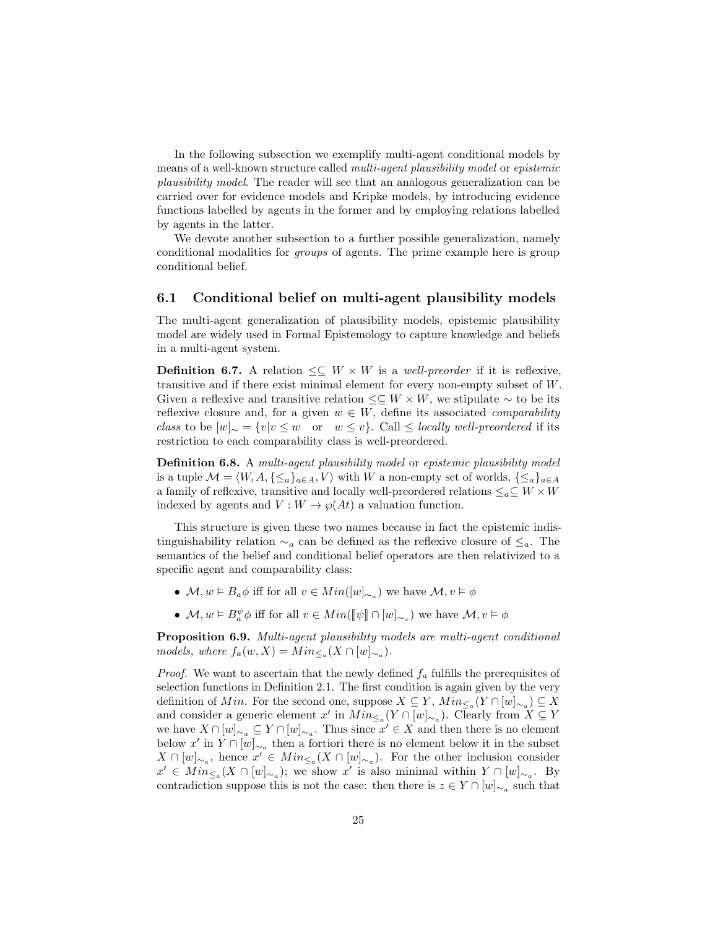In the following subsection we exemplify multi-agent conditional models by means of a well-known structure called multi-agent plausibility model or epistemic plausibility model. The reader will see that an analogous generalization can be carried over for evidence models and Kripke models, by introducing evidence functions labelled by agents in the former and by employing relations labelled by agents in the latter.

We devote another subsection to a further possible generalization, namely conditional modalities for groups of agents. The prime example here is group conditional belief.

#### 6.1 Conditional belief on multi-agent plausibility models

The multi-agent generalization of plausibility models, epistemic plausibility model are widely used in Formal Epistemology to capture knowledge and beliefs in a multi-agent system.

**Definition 6.7.** A relation  $\leq \subseteq W \times W$  is a well-preorder if it is reflexive, transitive and if there exist minimal element for every non-empty subset of W. Given a reflexive and transitive relation  $\leq \subseteq W \times W$ , we stipulate  $\sim$  to be its reflexive closure and, for a given  $w \in W$ , define its associated *comparability* class to be  $[w]_{\sim} = \{v|v \leq w \text{ or } w \leq v\}$ . Call  $\leq$  locally well-preordered if its restriction to each comparability class is well-preordered.

Definition 6.8. A multi-agent plausibility model or epistemic plausibility model is a tuple  $\mathcal{M} = \langle W, A, \{\leq_a\}_{a \in A}, V \rangle$  with W a non-empty set of worlds,  $\{\leq_a\}_{a \in A}$ a family of reflexive, transitive and locally well-preordered relations  $\leq_a \subseteq W \times W$ indexed by agents and  $V: W \to \wp(At)$  a valuation function.

This structure is given these two names because in fact the epistemic indistinguishability relation  $\sim_a$  can be defined as the reflexive closure of  $\leq_a$ . The semantics of the belief and conditional belief operators are then relativized to a specific agent and comparability class:

- $\mathcal{M}, w \models B_a \phi$  iff for all  $v \in Min([w]_{\sim_a})$  we have  $\mathcal{M}, v \models \phi$
- $\mathcal{M}, w \models B^{\psi}_a \phi$  iff for all  $v \in Min(\llbracket \psi \rrbracket \cap [w]_{\sim_a})$  we have  $\mathcal{M}, v \models \phi$

Proposition 6.9. Multi-agent plausibility models are multi-agent conditional models, where  $f_a(w, X) = Min_{\leq_a} (X \cap [w]_{\sim_a}).$ 

*Proof.* We want to ascertain that the newly defined  $f_a$  fulfills the prerequisites of selection functions in Definition 2.1. The first condition is again given by the very definition of Min. For the second one, suppose  $X \subseteq Y$ ,  $Min_{\leq_a} (Y \cap [w]_{\sim_a}) \subseteq X$ and consider a generic element  $x'$  in  $Min_{\leq a}(Y \cap [w]_{\sim a})$ . Clearly from  $X \subseteq Y$ we have  $X \cap [w]_{\sim_a} \subseteq Y \cap [w]_{\sim_a}$ . Thus since  $x' \in X$  and then there is no element below  $x'$  in  $Y \cap [w]_{\sim_a}$  then a fortiori there is no element below it in the subset  $X \cap [w]_{\sim_a}$ , hence  $x' \in Min_{\leq_a} (X \cap [w]_{\sim_a})$ . For the other inclusion consider  $x' \in Min_{\leq_a} (X \cap [w]_{\sim_a})$ ; we show x' is also minimal within  $Y \cap [w]_{\sim_a}$ . By contradiction suppose this is not the case: then there is  $z \in Y \cap [w]_{\sim_a}$  such that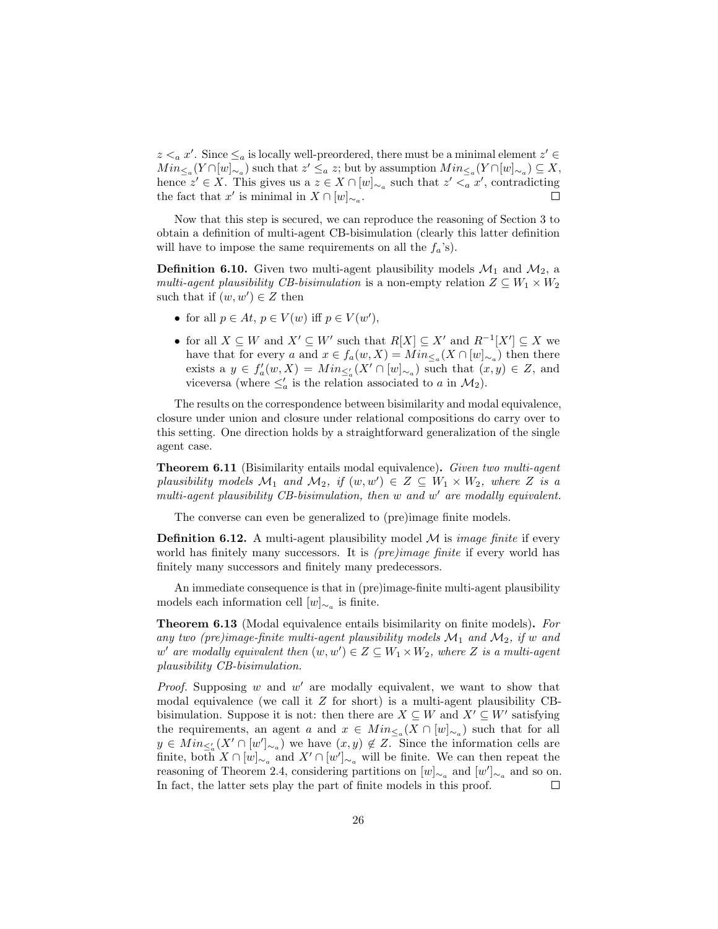$z <sub>a</sub> x'$ . Since  $\leq_a$  is locally well-preordered, there must be a minimal element  $z' \in$  $Min_{\leq_a}(Y\cap [w]_{\sim_a})$  such that  $z'\leq_a z$ ; but by assumption  $Min_{\leq_a}(Y\cap [w]_{\sim_a})\subseteq X$ , hence  $z' \in X$ . This gives us a  $z \in X \cap [w]_{\sim_a}$  such that  $z' \leq_a x'$ , contradicting the fact that  $x'$  is minimal in  $X \cap [w]_{\sim_a}$ .  $\Box$ 

Now that this step is secured, we can reproduce the reasoning of Section 3 to obtain a definition of multi-agent CB-bisimulation (clearly this latter definition will have to impose the same requirements on all the  $f_a$ 's).

**Definition 6.10.** Given two multi-agent plausibility models  $\mathcal{M}_1$  and  $\mathcal{M}_2$ , a multi-agent plausibility CB-bisimulation is a non-empty relation  $Z \subseteq W_1 \times W_2$ such that if  $(w, w') \in Z$  then

- for all  $p \in At, p \in V(w)$  iff  $p \in V(w'),$
- for all  $X \subseteq W$  and  $X' \subseteq W'$  such that  $R[X] \subseteq X'$  and  $R^{-1}[X'] \subseteq X$  we have that for every a and  $x \in f_a(w, X) = Min_{\leq_a} (X \cap [w]_{\sim_a})$  then there exists a  $y \in f'_a(w, X) = Min_{\leq'_a} (X' \cap [w]_{\sim_a})$  such that  $(x, y) \in Z$ , and viceversa (where  $\leq'_a$  is the relation associated to a in  $\mathcal{M}_2$ ).

The results on the correspondence between bisimilarity and modal equivalence, closure under union and closure under relational compositions do carry over to this setting. One direction holds by a straightforward generalization of the single agent case.

Theorem 6.11 (Bisimilarity entails modal equivalence). Given two multi-agent plausibility models  $\mathcal{M}_1$  and  $\mathcal{M}_2$ , if  $(w, w') \in Z \subseteq W_1 \times W_2$ , where Z is a multi-agent plausibility CB-bisimulation, then  $w$  and  $w'$  are modally equivalent.

The converse can even be generalized to (pre)image finite models.

**Definition 6.12.** A multi-agent plausibility model  $M$  is *image finite* if every world has finitely many successors. It is *(pre)image finite* if every world has finitely many successors and finitely many predecessors.

An immediate consequence is that in (pre)image-finite multi-agent plausibility models each information cell  $[w]_{\sim_a}$  is finite.

**Theorem 6.13** (Modal equivalence entails bisimilarity on finite models). For any two (pre)image-finite multi-agent plausibility models  $\mathcal{M}_1$  and  $\mathcal{M}_2$ , if w and  $w'$  are modally equivalent then  $(w, w') \in Z \subseteq W_1 \times W_2$ , where Z is a multi-agent plausibility CB-bisimulation.

*Proof.* Supposing  $w$  and  $w'$  are modally equivalent, we want to show that modal equivalence (we call it  $Z$  for short) is a multi-agent plausibility CBbisimulation. Suppose it is not: then there are  $X \subseteq W$  and  $X' \subseteq W'$  satisfying the requirements, an agent a and  $x \in Min_{\leq_a} (X \cap [w]_{\sim_a})$  such that for all  $y \in Min_{\leq a} (X' \cap [w']_{\sim_a})$  we have  $(x, y) \notin Z$ . Since the information cells are finite, both  $X \cap [w]_{\sim_a}$  and  $X' \cap [w']_{\sim_a}$  will be finite. We can then repeat the reasoning of Theorem 2.4, considering partitions on  $[w]_{\sim_a}$  and  $[w']_{\sim_a}$  and so on. In fact, the latter sets play the part of finite models in this proof.  $\Box$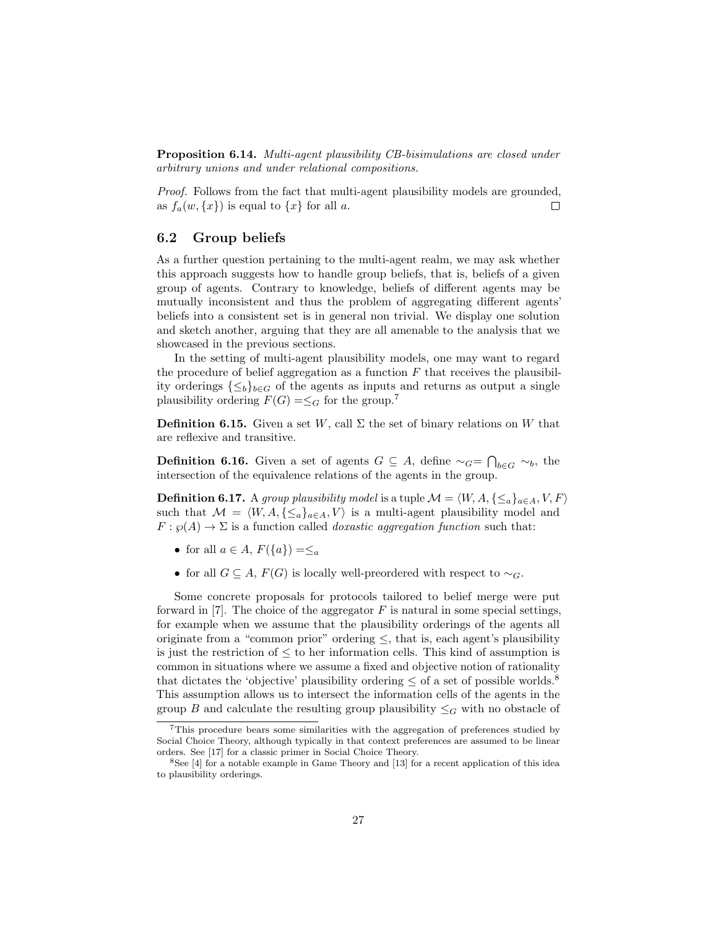Proposition 6.14. Multi-agent plausibility CB-bisimulations are closed under arbitrary unions and under relational compositions.

Proof. Follows from the fact that multi-agent plausibility models are grounded, as  $f_a(w, \{x\})$  is equal to  $\{x\}$  for all a.  $\Box$ 

#### 6.2 Group beliefs

As a further question pertaining to the multi-agent realm, we may ask whether this approach suggests how to handle group beliefs, that is, beliefs of a given group of agents. Contrary to knowledge, beliefs of different agents may be mutually inconsistent and thus the problem of aggregating different agents' beliefs into a consistent set is in general non trivial. We display one solution and sketch another, arguing that they are all amenable to the analysis that we showcased in the previous sections.

In the setting of multi-agent plausibility models, one may want to regard the procedure of belief aggregation as a function  $F$  that receives the plausibility orderings  $\{\leq_b\}_{b\in G}$  of the agents as inputs and returns as output a single plausibility ordering  $F(G) = \leq_G$  for the group.<sup>7</sup>

**Definition 6.15.** Given a set W, call  $\Sigma$  the set of binary relations on W that are reflexive and transitive.

**Definition 6.16.** Given a set of agents  $G \subseteq A$ , define  $\sim_G = \bigcap_{b \in G} \sim_b$ , the intersection of the equivalence relations of the agents in the group.

**Definition 6.17.** A group plausibility model is a tuple  $\mathcal{M} = \langle W, A, \{\leq_a\}_{a \in A}, V, F\rangle$ such that  $\mathcal{M} = \langle W, A, \{\leq_a\}_{a \in A}, V \rangle$  is a multi-agent plausibility model and  $F: \wp(A) \to \Sigma$  is a function called *doxastic aggregation function* such that:

- for all  $a \in A$ ,  $F({a}) = \leq_a$
- for all  $G \subseteq A$ ,  $F(G)$  is locally well-preordered with respect to  $\sim_G$ .

Some concrete proposals for protocols tailored to belief merge were put forward in [7]. The choice of the aggregator  $F$  is natural in some special settings, for example when we assume that the plausibility orderings of the agents all originate from a "common prior" ordering  $\leq$ , that is, each agent's plausibility is just the restriction of  $\leq$  to her information cells. This kind of assumption is common in situations where we assume a fixed and objective notion of rationality that dictates the 'objective' plausibility ordering  $\leq$  of a set of possible worlds.<sup>8</sup> This assumption allows us to intersect the information cells of the agents in the group B and calculate the resulting group plausibility  $\leq_G$  with no obstacle of

<sup>7</sup>This procedure bears some similarities with the aggregation of preferences studied by Social Choice Theory, although typically in that context preferences are assumed to be linear orders. See [17] for a classic primer in Social Choice Theory.

<sup>8</sup>See [4] for a notable example in Game Theory and [13] for a recent application of this idea to plausibility orderings.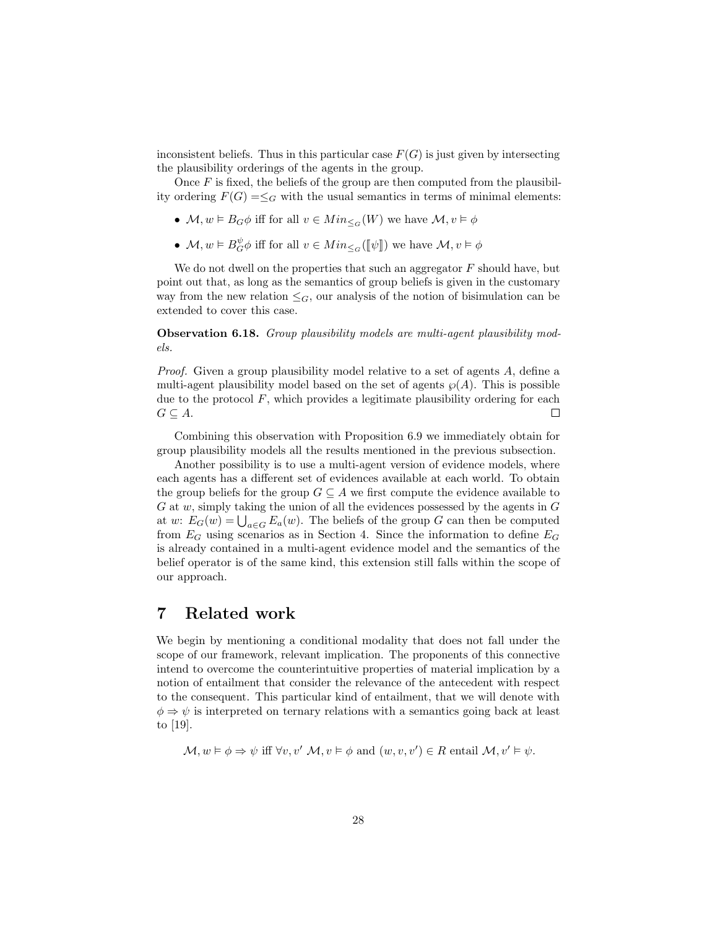inconsistent beliefs. Thus in this particular case  $F(G)$  is just given by intersecting the plausibility orderings of the agents in the group.

Once  $F$  is fixed, the beliefs of the group are then computed from the plausibility ordering  $F(G) = \leq_G$  with the usual semantics in terms of minimal elements:

- $\mathcal{M}, w \models B_G \phi$  iff for all  $v \in Min_{\leq G}(W)$  we have  $\mathcal{M}, v \models \phi$
- $M, w \models B_G^{\psi} \phi$  iff for all  $v \in Min_{\leq G}([\![\psi]\!])$  we have  $M, v \models \phi$

We do not dwell on the properties that such an aggregator  $F$  should have, but point out that, as long as the semantics of group beliefs is given in the customary way from the new relation  $\leq_G$ , our analysis of the notion of bisimulation can be extended to cover this case.

Observation 6.18. Group plausibility models are multi-agent plausibility models.

*Proof.* Given a group plausibility model relative to a set of agents A, define a multi-agent plausibility model based on the set of agents  $\wp(A)$ . This is possible due to the protocol  $F$ , which provides a legitimate plausibility ordering for each  $G \subseteq A$ .  $\Box$ 

Combining this observation with Proposition 6.9 we immediately obtain for group plausibility models all the results mentioned in the previous subsection.

Another possibility is to use a multi-agent version of evidence models, where each agents has a different set of evidences available at each world. To obtain the group beliefs for the group  $G \subseteq A$  we first compute the evidence available to  $G$  at  $w$ , simply taking the union of all the evidences possessed by the agents in  $G$ at w:  $E_G(w) = \bigcup_{a \in G} E_a(w)$ . The beliefs of the group G can then be computed from  $E_G$  using scenarios as in Section 4. Since the information to define  $E_G$ is already contained in a multi-agent evidence model and the semantics of the belief operator is of the same kind, this extension still falls within the scope of our approach.

### 7 Related work

We begin by mentioning a conditional modality that does not fall under the scope of our framework, relevant implication. The proponents of this connective intend to overcome the counterintuitive properties of material implication by a notion of entailment that consider the relevance of the antecedent with respect to the consequent. This particular kind of entailment, that we will denote with  $\phi \Rightarrow \psi$  is interpreted on ternary relations with a semantics going back at least to [19].

$$
\mathcal{M}, w \models \phi \Rightarrow \psi \text{ iff } \forall v, v' \mathcal{M}, v \models \phi \text{ and } (w, v, v') \in R \text{ entail } \mathcal{M}, v' \models \psi.
$$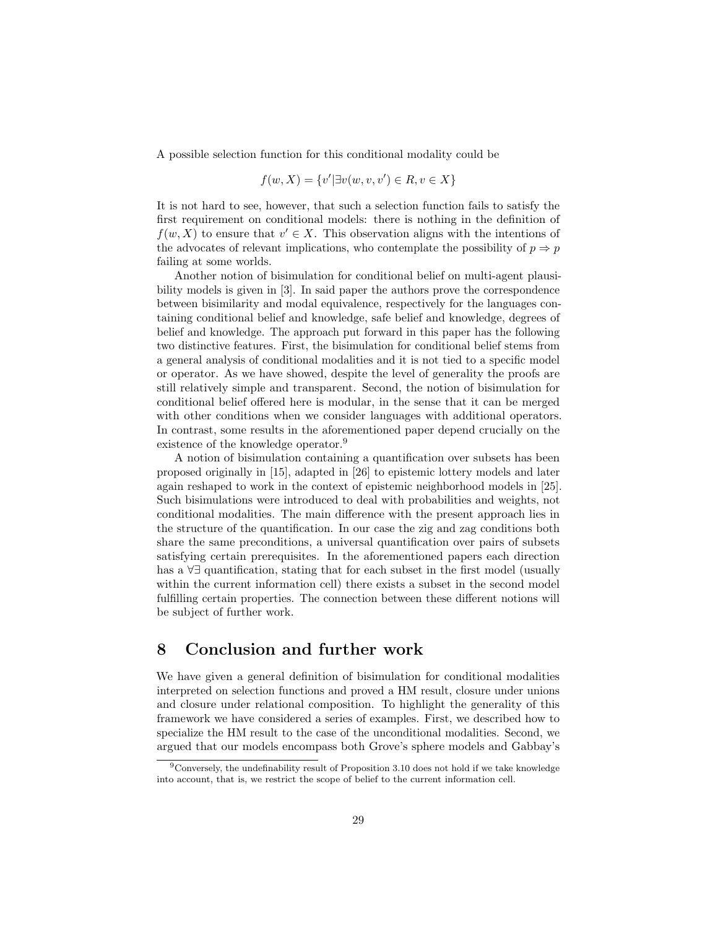A possible selection function for this conditional modality could be

$$
f(w, X) = \{v' | \exists v(w, v, v') \in R, v \in X\}
$$

It is not hard to see, however, that such a selection function fails to satisfy the first requirement on conditional models: there is nothing in the definition of  $f(w, X)$  to ensure that  $v' \in X$ . This observation aligns with the intentions of the advocates of relevant implications, who contemplate the possibility of  $p \Rightarrow p$ failing at some worlds.

Another notion of bisimulation for conditional belief on multi-agent plausibility models is given in [3]. In said paper the authors prove the correspondence between bisimilarity and modal equivalence, respectively for the languages containing conditional belief and knowledge, safe belief and knowledge, degrees of belief and knowledge. The approach put forward in this paper has the following two distinctive features. First, the bisimulation for conditional belief stems from a general analysis of conditional modalities and it is not tied to a specific model or operator. As we have showed, despite the level of generality the proofs are still relatively simple and transparent. Second, the notion of bisimulation for conditional belief offered here is modular, in the sense that it can be merged with other conditions when we consider languages with additional operators. In contrast, some results in the aforementioned paper depend crucially on the existence of the knowledge operator.<sup>9</sup>

A notion of bisimulation containing a quantification over subsets has been proposed originally in [15], adapted in [26] to epistemic lottery models and later again reshaped to work in the context of epistemic neighborhood models in [25]. Such bisimulations were introduced to deal with probabilities and weights, not conditional modalities. The main difference with the present approach lies in the structure of the quantification. In our case the zig and zag conditions both share the same preconditions, a universal quantification over pairs of subsets satisfying certain prerequisites. In the aforementioned papers each direction has a ∀∃ quantification, stating that for each subset in the first model (usually within the current information cell) there exists a subset in the second model fulfilling certain properties. The connection between these different notions will be subject of further work.

### 8 Conclusion and further work

We have given a general definition of bisimulation for conditional modalities interpreted on selection functions and proved a HM result, closure under unions and closure under relational composition. To highlight the generality of this framework we have considered a series of examples. First, we described how to specialize the HM result to the case of the unconditional modalities. Second, we argued that our models encompass both Grove's sphere models and Gabbay's

<sup>9</sup>Conversely, the undefinability result of Proposition 3.10 does not hold if we take knowledge into account, that is, we restrict the scope of belief to the current information cell.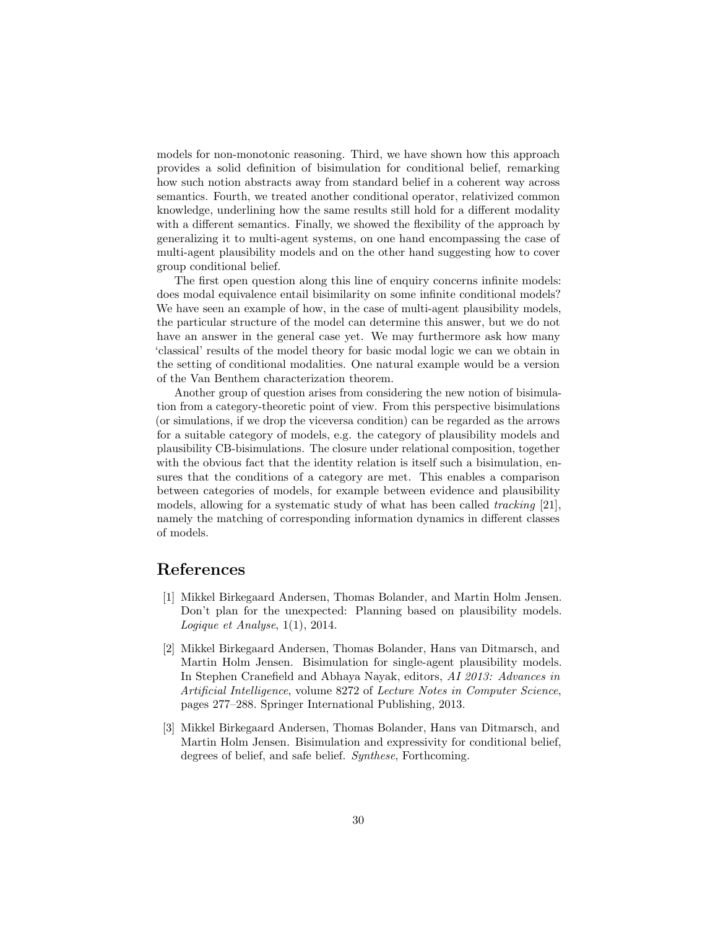models for non-monotonic reasoning. Third, we have shown how this approach provides a solid definition of bisimulation for conditional belief, remarking how such notion abstracts away from standard belief in a coherent way across semantics. Fourth, we treated another conditional operator, relativized common knowledge, underlining how the same results still hold for a different modality with a different semantics. Finally, we showed the flexibility of the approach by generalizing it to multi-agent systems, on one hand encompassing the case of multi-agent plausibility models and on the other hand suggesting how to cover group conditional belief.

The first open question along this line of enquiry concerns infinite models: does modal equivalence entail bisimilarity on some infinite conditional models? We have seen an example of how, in the case of multi-agent plausibility models, the particular structure of the model can determine this answer, but we do not have an answer in the general case yet. We may furthermore ask how many 'classical' results of the model theory for basic modal logic we can we obtain in the setting of conditional modalities. One natural example would be a version of the Van Benthem characterization theorem.

Another group of question arises from considering the new notion of bisimulation from a category-theoretic point of view. From this perspective bisimulations (or simulations, if we drop the viceversa condition) can be regarded as the arrows for a suitable category of models, e.g. the category of plausibility models and plausibility CB-bisimulations. The closure under relational composition, together with the obvious fact that the identity relation is itself such a bisimulation, ensures that the conditions of a category are met. This enables a comparison between categories of models, for example between evidence and plausibility models, allowing for a systematic study of what has been called tracking [21], namely the matching of corresponding information dynamics in different classes of models.

## References

- [1] Mikkel Birkegaard Andersen, Thomas Bolander, and Martin Holm Jensen. Don't plan for the unexpected: Planning based on plausibility models. Logique et Analyse, 1(1), 2014.
- [2] Mikkel Birkegaard Andersen, Thomas Bolander, Hans van Ditmarsch, and Martin Holm Jensen. Bisimulation for single-agent plausibility models. In Stephen Cranefield and Abhaya Nayak, editors, AI 2013: Advances in Artificial Intelligence, volume 8272 of Lecture Notes in Computer Science, pages 277–288. Springer International Publishing, 2013.
- [3] Mikkel Birkegaard Andersen, Thomas Bolander, Hans van Ditmarsch, and Martin Holm Jensen. Bisimulation and expressivity for conditional belief, degrees of belief, and safe belief. Synthese, Forthcoming.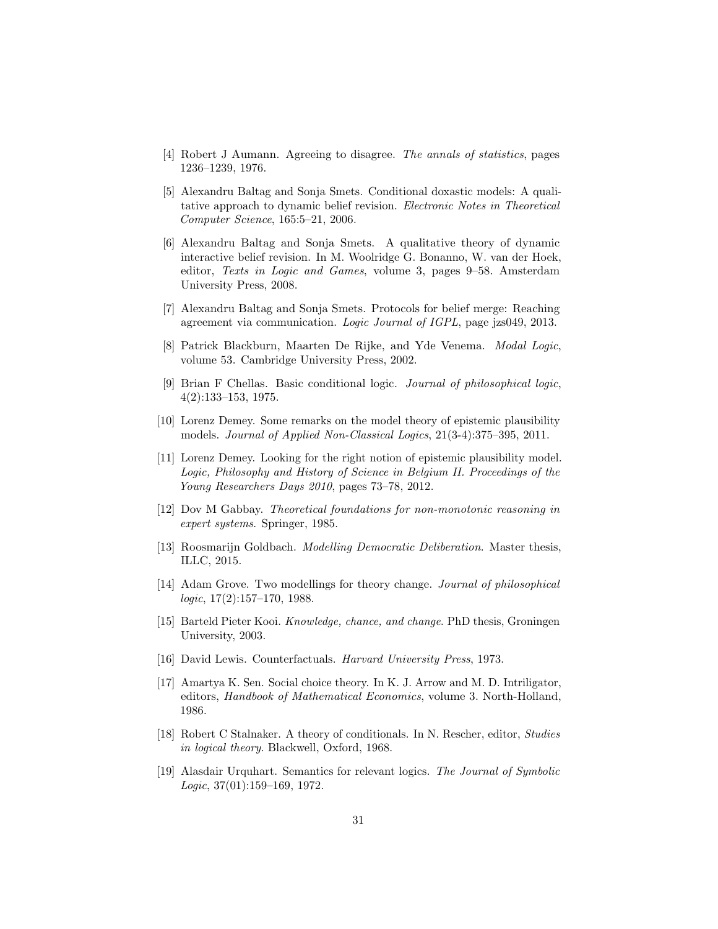- [4] Robert J Aumann. Agreeing to disagree. The annals of statistics, pages 1236–1239, 1976.
- [5] Alexandru Baltag and Sonja Smets. Conditional doxastic models: A qualitative approach to dynamic belief revision. Electronic Notes in Theoretical Computer Science, 165:5–21, 2006.
- [6] Alexandru Baltag and Sonja Smets. A qualitative theory of dynamic interactive belief revision. In M. Woolridge G. Bonanno, W. van der Hoek, editor, Texts in Logic and Games, volume 3, pages 9–58. Amsterdam University Press, 2008.
- [7] Alexandru Baltag and Sonja Smets. Protocols for belief merge: Reaching agreement via communication. Logic Journal of IGPL, page jzs049, 2013.
- [8] Patrick Blackburn, Maarten De Rijke, and Yde Venema. Modal Logic, volume 53. Cambridge University Press, 2002.
- [9] Brian F Chellas. Basic conditional logic. Journal of philosophical logic, 4(2):133–153, 1975.
- [10] Lorenz Demey. Some remarks on the model theory of epistemic plausibility models. Journal of Applied Non-Classical Logics, 21(3-4):375–395, 2011.
- [11] Lorenz Demey. Looking for the right notion of epistemic plausibility model. Logic, Philosophy and History of Science in Belgium II. Proceedings of the Young Researchers Days 2010, pages 73–78, 2012.
- [12] Dov M Gabbay. Theoretical foundations for non-monotonic reasoning in expert systems. Springer, 1985.
- [13] Roosmarijn Goldbach. Modelling Democratic Deliberation. Master thesis, ILLC, 2015.
- [14] Adam Grove. Two modellings for theory change. Journal of philosophical logic, 17(2):157–170, 1988.
- [15] Barteld Pieter Kooi. Knowledge, chance, and change. PhD thesis, Groningen University, 2003.
- [16] David Lewis. Counterfactuals. Harvard University Press, 1973.
- [17] Amartya K. Sen. Social choice theory. In K. J. Arrow and M. D. Intriligator, editors, Handbook of Mathematical Economics, volume 3. North-Holland, 1986.
- [18] Robert C Stalnaker. A theory of conditionals. In N. Rescher, editor, Studies in logical theory. Blackwell, Oxford, 1968.
- [19] Alasdair Urquhart. Semantics for relevant logics. The Journal of Symbolic Logic, 37(01):159–169, 1972.